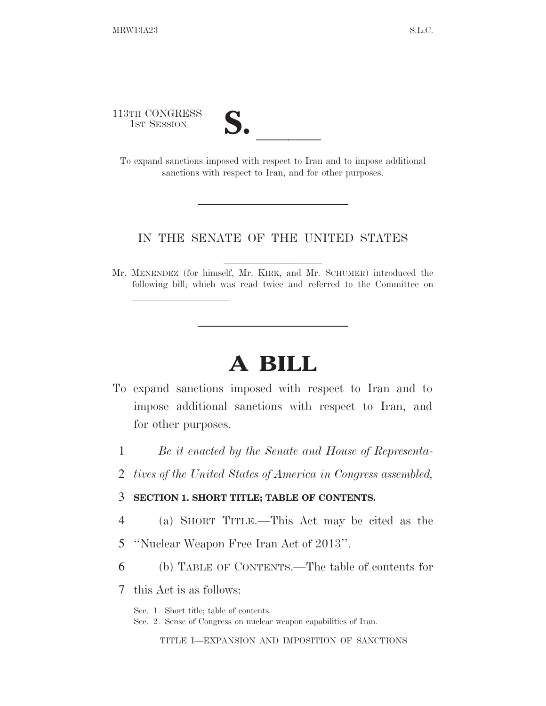113TH CONGRESS



13TH CONGRESS<br>
1ST SESSION<br>
To expand sanctions imposed with respect to Iran and to impose additional sanctions with respect to Iran, and for other purposes.

#### IN THE SENATE OF THE UNITED STATES

Mr. MENENDEZ (for himself, Mr. KIRK, and Mr. SCHUMER) introduced the following bill; which was read twice and referred to the Committee on

## **A BILL**

- To expand sanctions imposed with respect to Iran and to impose additional sanctions with respect to Iran, and for other purposes.
	- 1 *Be it enacted by the Senate and House of Representa-*
	- 2 *tives of the United States of America in Congress assembled,*

#### 3 **SECTION 1. SHORT TITLE; TABLE OF CONTENTS.**

- 4 (a) SHORT TITLE.—This Act may be cited as the
- 5 ''Nuclear Weapon Free Iran Act of 2013''.
- 6 (b) TABLE OF CONTENTS.—The table of contents for
- 7 this Act is as follows:

lle and a second control of the second control of the second control of the second control of the second control of the second control of the second control of the second control of the second control of the second control

Sec. 1. Short title; table of contents.

Sec. 2. Sense of Congress on nuclear weapon capabilities of Iran.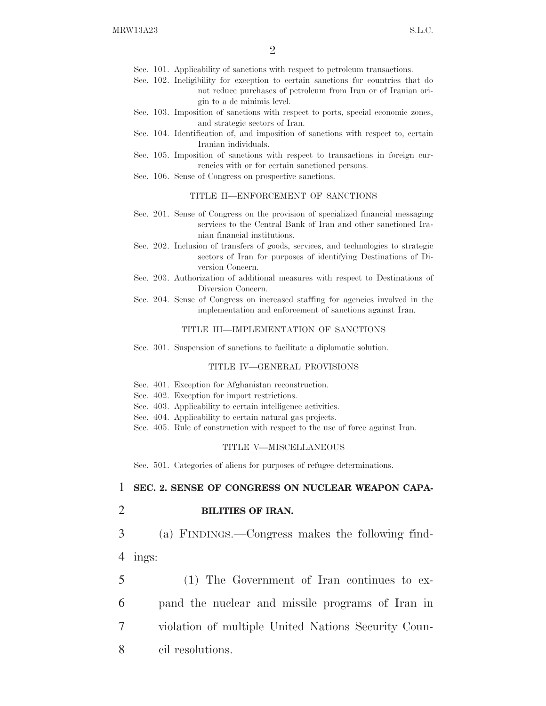- Sec. 101. Applicability of sanctions with respect to petroleum transactions.
- Sec. 102. Ineligibility for exception to certain sanctions for countries that do not reduce purchases of petroleum from Iran or of Iranian origin to a de minimis level.
- Sec. 103. Imposition of sanctions with respect to ports, special economic zones, and strategic sectors of Iran.
- Sec. 104. Identification of, and imposition of sanctions with respect to, certain Iranian individuals.
- Sec. 105. Imposition of sanctions with respect to transactions in foreign currencies with or for certain sanctioned persons.
- Sec. 106. Sense of Congress on prospective sanctions.

#### TITLE II—ENFORCEMENT OF SANCTIONS

- Sec. 201. Sense of Congress on the provision of specialized financial messaging services to the Central Bank of Iran and other sanctioned Iranian financial institutions.
- Sec. 202. Inclusion of transfers of goods, services, and technologies to strategic sectors of Iran for purposes of identifying Destinations of Diversion Concern.
- Sec. 203. Authorization of additional measures with respect to Destinations of Diversion Concern.
- Sec. 204. Sense of Congress on increased staffing for agencies involved in the implementation and enforcement of sanctions against Iran.

#### TITLE III—IMPLEMENTATION OF SANCTIONS

Sec. 301. Suspension of sanctions to facilitate a diplomatic solution.

#### TITLE IV—GENERAL PROVISIONS

- Sec. 401. Exception for Afghanistan reconstruction.
- Sec. 402. Exception for import restrictions.
- Sec. 403. Applicability to certain intelligence activities.
- Sec. 404. Applicability to certain natural gas projects.
- Sec. 405. Rule of construction with respect to the use of force against Iran.

#### TITLE V—MISCELLANEOUS

Sec. 501. Categories of aliens for purposes of refugee determinations.

#### 1 **SEC. 2. SENSE OF CONGRESS ON NUCLEAR WEAPON CAPA-**

2 **BILITIES OF IRAN.** 

3 (a) FINDINGS.—Congress makes the following find-4 ings:

 (1) The Government of Iran continues to ex- pand the nuclear and missile programs of Iran in violation of multiple United Nations Security Coun-cil resolutions.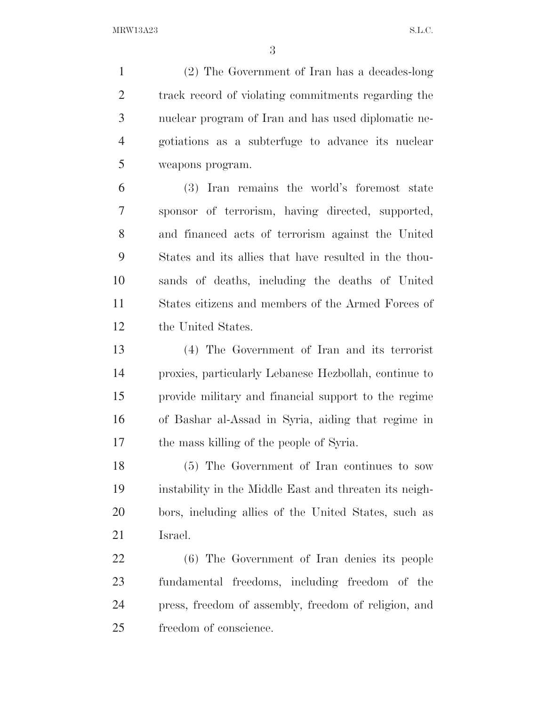(2) The Government of Iran has a decades-long track record of violating commitments regarding the nuclear program of Iran and has used diplomatic ne- gotiations as a subterfuge to advance its nuclear weapons program.

 (3) Iran remains the world's foremost state sponsor of terrorism, having directed, supported, and financed acts of terrorism against the United States and its allies that have resulted in the thou- sands of deaths, including the deaths of United States citizens and members of the Armed Forces of the United States.

 (4) The Government of Iran and its terrorist proxies, particularly Lebanese Hezbollah, continue to provide military and financial support to the regime of Bashar al-Assad in Syria, aiding that regime in the mass killing of the people of Syria.

 (5) The Government of Iran continues to sow instability in the Middle East and threaten its neigh- bors, including allies of the United States, such as Israel.

 (6) The Government of Iran denies its people fundamental freedoms, including freedom of the press, freedom of assembly, freedom of religion, and freedom of conscience.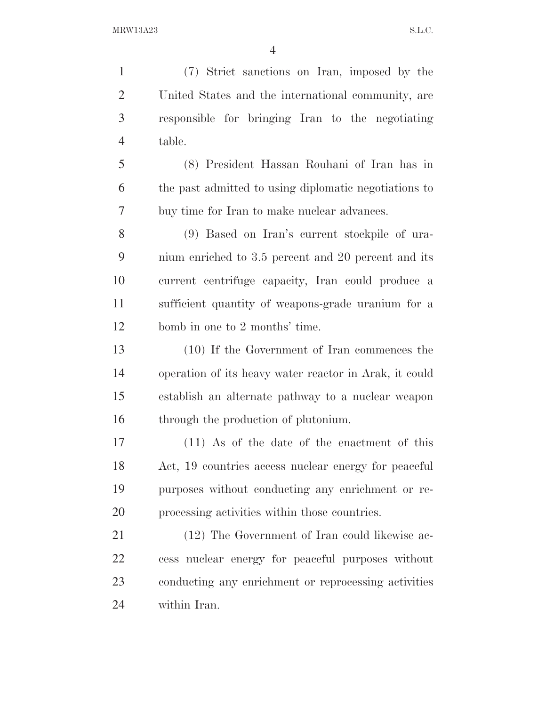(7) Strict sanctions on Iran, imposed by the United States and the international community, are responsible for bringing Iran to the negotiating table. (8) President Hassan Rouhani of Iran has in

 the past admitted to using diplomatic negotiations to buy time for Iran to make nuclear advances.

 (9) Based on Iran's current stockpile of ura- nium enriched to 3.5 percent and 20 percent and its current centrifuge capacity, Iran could produce a sufficient quantity of weapons-grade uranium for a bomb in one to 2 months' time.

 (10) If the Government of Iran commences the operation of its heavy water reactor in Arak, it could establish an alternate pathway to a nuclear weapon through the production of plutonium.

 (11) As of the date of the enactment of this Act, 19 countries access nuclear energy for peaceful purposes without conducting any enrichment or re-processing activities within those countries.

 (12) The Government of Iran could likewise ac- cess nuclear energy for peaceful purposes without conducting any enrichment or reprocessing activities within Iran.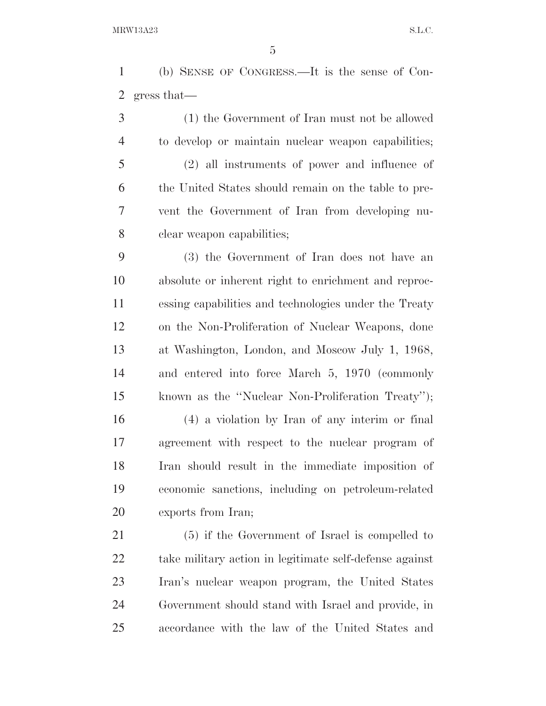(b) SENSE OF CONGRESS.—It is the sense of Con-gress that—

 (1) the Government of Iran must not be allowed to develop or maintain nuclear weapon capabilities; (2) all instruments of power and influence of the United States should remain on the table to pre- vent the Government of Iran from developing nu-clear weapon capabilities;

 (3) the Government of Iran does not have an absolute or inherent right to enrichment and reproc- essing capabilities and technologies under the Treaty on the Non-Proliferation of Nuclear Weapons, done at Washington, London, and Moscow July 1, 1968, and entered into force March 5, 1970 (commonly known as the ''Nuclear Non-Proliferation Treaty'');

 (4) a violation by Iran of any interim or final agreement with respect to the nuclear program of Iran should result in the immediate imposition of economic sanctions, including on petroleum-related exports from Iran;

 (5) if the Government of Israel is compelled to take military action in legitimate self-defense against Iran's nuclear weapon program, the United States Government should stand with Israel and provide, in accordance with the law of the United States and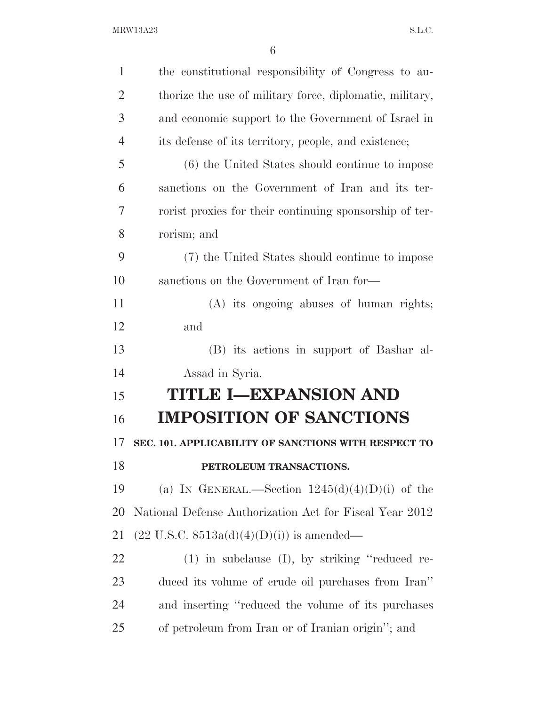| $\mathbf{1}$   | the constitutional responsibility of Congress to au-     |
|----------------|----------------------------------------------------------|
| $\overline{2}$ | thorize the use of military force, diplomatic, military, |
| 3              | and economic support to the Government of Israel in      |
| $\overline{4}$ | its defense of its territory, people, and existence;     |
| 5              | (6) the United States should continue to impose          |
| 6              | sanctions on the Government of Iran and its ter-         |
| 7              | rorist proxies for their continuing sponsorship of ter-  |
| 8              | rorism; and                                              |
| 9              | (7) the United States should continue to impose          |
| 10             | sanctions on the Government of Iran for-                 |
| 11             | (A) its ongoing abuses of human rights;                  |
| 12             | and                                                      |
| 13             | (B) its actions in support of Bashar al-                 |
| 14             | Assad in Syria.                                          |
| 15             | <b>TITLE I-EXPANSION AND</b>                             |
| 16             | <b>IMPOSITION OF SANCTIONS</b>                           |
| 17             | SEC. 101. APPLICABILITY OF SANCTIONS WITH RESPECT TO     |
| 18             | PETROLEUM TRANSACTIONS.                                  |
| 19             | (a) IN GENERAL.—Section $1245(d)(4)(D)(i)$ of the        |
| 20             | National Defense Authorization Act for Fiscal Year 2012  |
| 21             | $(22 \text{ U.S.C. } 8513a(d)(4)(D)(i))$ is amended—     |
| 22             | $(1)$ in subclause $(I)$ , by striking "reduced re-      |
| 23             | duced its volume of crude oil purchases from Iran"       |
| 24             | and inserting "reduced the volume of its purchases       |
| 25             | of petroleum from Iran or of Iranian origin"; and        |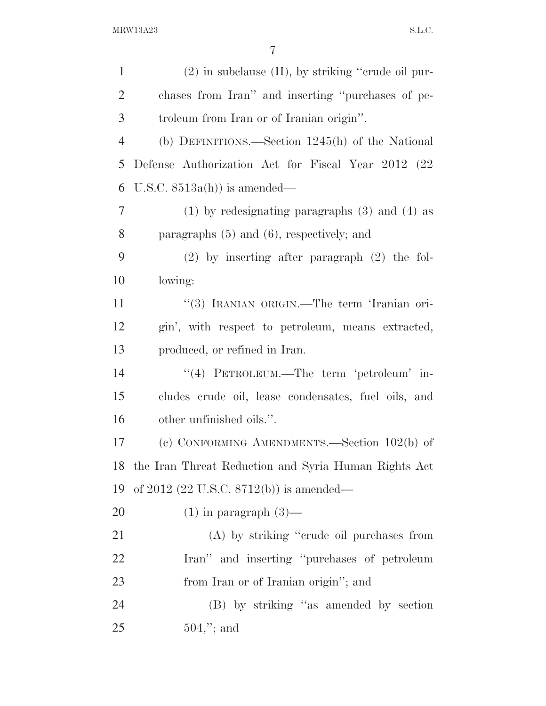| $\mathbf{1}$   | $(2)$ in subclause $(II)$ , by striking "crude oil pur- |
|----------------|---------------------------------------------------------|
| $\overline{2}$ | chases from Iran" and inserting "purchases of pe-       |
| 3              | troleum from Iran or of Iranian origin".                |
| $\overline{4}$ | (b) DEFINITIONS.—Section $1245(h)$ of the National      |
| 5              | Defense Authorization Act for Fiscal Year 2012 (22)     |
| 6              | U.S.C. $8513a(h)$ is amended—                           |
| $\overline{7}$ | $(1)$ by redesignating paragraphs $(3)$ and $(4)$ as    |
| 8              | paragraphs $(5)$ and $(6)$ , respectively; and          |
| 9              | $(2)$ by inserting after paragraph $(2)$ the fol-       |
| 10             | lowing:                                                 |
| 11             | "(3) IRANIAN ORIGIN.—The term 'Iranian ori-             |
| 12             | gin', with respect to petroleum, means extracted,       |
| 13             | produced, or refined in Iran.                           |
| 14             | "(4) PETROLEUM.—The term 'petroleum' in-                |
| 15             | cludes crude oil, lease condensates, fuel oils, and     |
| 16             | other unfinished oils.".                                |
| 17             | (c) CONFORMING AMENDMENTS.—Section $102(b)$ of          |
|                | 18 the Iran Threat Reduction and Syria Human Rights Act |
| 19             | of 2012 (22 U.S.C. 8712(b)) is amended—                 |
| <b>20</b>      | $(1)$ in paragraph $(3)$ —                              |
| 21             | (A) by striking "crude oil purchases from               |
| 22             | Iran" and inserting "purchases of petroleum             |
| 23             | from Iran or of Iranian origin"; and                    |
| 24             | (B) by striking "as amended by section                  |
| 25             | $504,$ "; and                                           |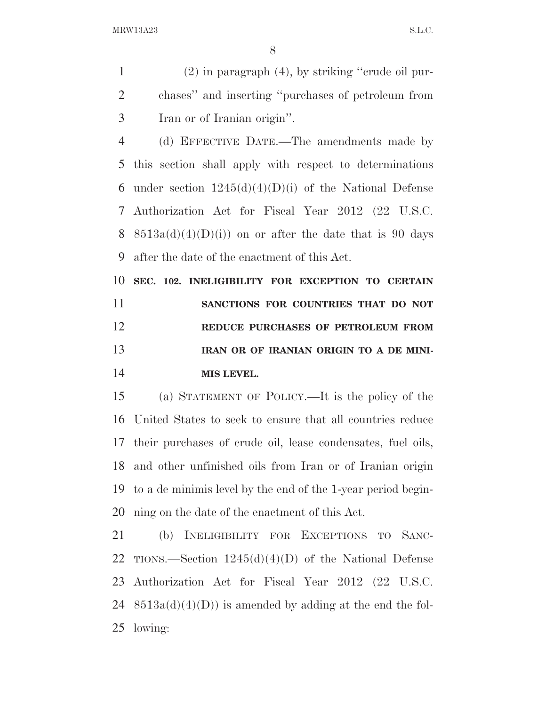(2) in paragraph (4), by striking ''crude oil pur- chases'' and inserting ''purchases of petroleum from Iran or of Iranian origin''.

 (d) EFFECTIVE DATE.—The amendments made by this section shall apply with respect to determinations 6 under section  $1245(d)(4)(D)(i)$  of the National Defense Authorization Act for Fiscal Year 2012 (22 U.S.C. 8 8513a(d)(4)(D)(i)) on or after the date that is 90 days after the date of the enactment of this Act.

 **SEC. 102. INELIGIBILITY FOR EXCEPTION TO CERTAIN SANCTIONS FOR COUNTRIES THAT DO NOT REDUCE PURCHASES OF PETROLEUM FROM IRAN OR OF IRANIAN ORIGIN TO A DE MINI-MIS LEVEL.** 

 (a) STATEMENT OF POLICY.—It is the policy of the United States to seek to ensure that all countries reduce their purchases of crude oil, lease condensates, fuel oils, and other unfinished oils from Iran or of Iranian origin to a de minimis level by the end of the 1-year period begin-ning on the date of the enactment of this Act.

 (b) INELIGIBILITY FOR EXCEPTIONS TO SANC-22 TIONS.—Section  $1245(d)(4)(D)$  of the National Defense Authorization Act for Fiscal Year 2012 (22 U.S.C. 24  $8513a(d)(4)(D)$  is amended by adding at the end the fol-lowing: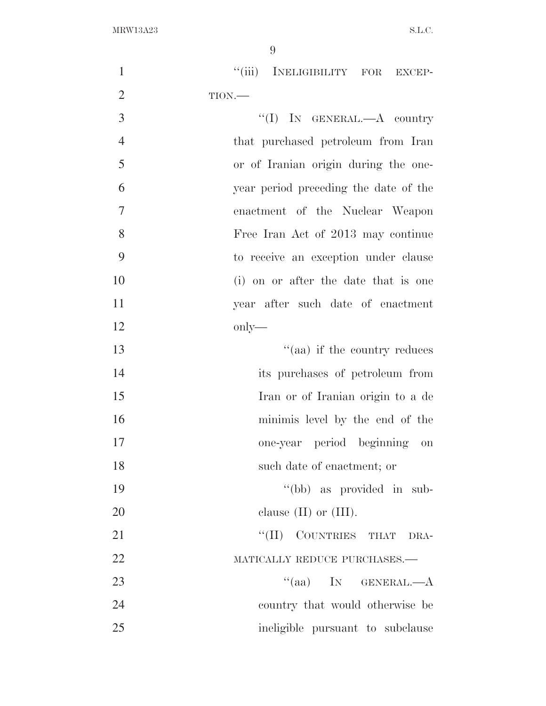| $\mathbf{1}$   | ``(iii)<br>INELIGIBILITY FOR EXCEP-   |
|----------------|---------------------------------------|
| $\overline{2}$ | TION.                                 |
| 3              | $``(I)$ IN GENERAL.—A country         |
| $\overline{4}$ | that purchased petroleum from Iran    |
| 5              | or of Iranian origin during the one-  |
| 6              | year period preceding the date of the |
| 7              | enactment of the Nuclear Weapon       |
| 8              | Free Iran Act of 2013 may continue    |
| 9              | to receive an exception under clause  |
| 10             | (i) on or after the date that is one  |
| 11             | year after such date of enactment     |
| 12             | only—                                 |
| 13             | "(aa) if the country reduces          |
| 14             | its purchases of petroleum from       |
| 15             | Iran or of Iranian origin to a de     |
| 16             | minimis level by the end of the       |
| 17             | one-year period beginning on          |
| 18             | such date of enactment; or            |
| 19             | "(bb) as provided in sub-             |
| 20             | clause $(II)$ or $(III)$ .            |
| 21             | "(II) COUNTRIES THAT DRA-             |
| 22             | MATICALLY REDUCE PURCHASES.-          |
| 23             | $\lq(aa)$ IN GENERAL.—A               |
| 24             | country that would otherwise be       |
| 25             | ineligible pursuant to subclause      |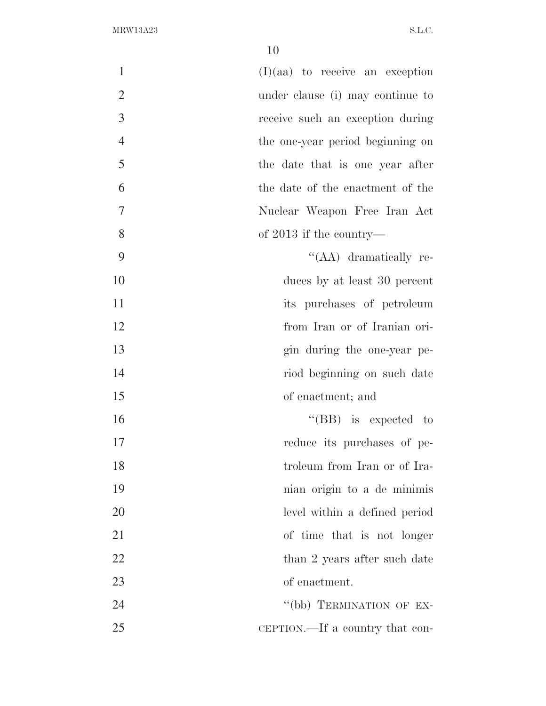| $(I)(aa)$ to receive an exception | $\mathbf{1}$     |
|-----------------------------------|------------------|
| under clause (i) may continue to  | $\overline{2}$   |
| receive such an exception during  | 3                |
| the one-year period beginning on  | $\overline{4}$   |
| the date that is one year after   | 5                |
| the date of the enactment of the  | 6                |
| Nuclear Weapon Free Iran Act      | $\boldsymbol{7}$ |
| of $2013$ if the country—         | 8                |
| "(AA) dramatically re-            | 9                |
| duces by at least 30 percent      | 10               |
| its purchases of petroleum        | 11               |
| from Iran or of Iranian ori-      | 12               |
| gin during the one-year pe-       | 13               |
| riod beginning on such date       | 14               |
| of enactment; and                 | 15               |
| $\lq\lq$ (BB) is expected to      | 16               |
| reduce its purchases of pe-       | 17               |
| troleum from Iran or of Ira-      | 18               |
| nian origin to a de minimis       | 19               |
| level within a defined period     | 20               |
| of time that is not longer        | 21               |
| than 2 years after such date      | 22               |
| of enactment.                     | 23               |
| "(bb) TERMINATION OF EX-          | 24               |
| CEPTION.—If a country that con-   | 25               |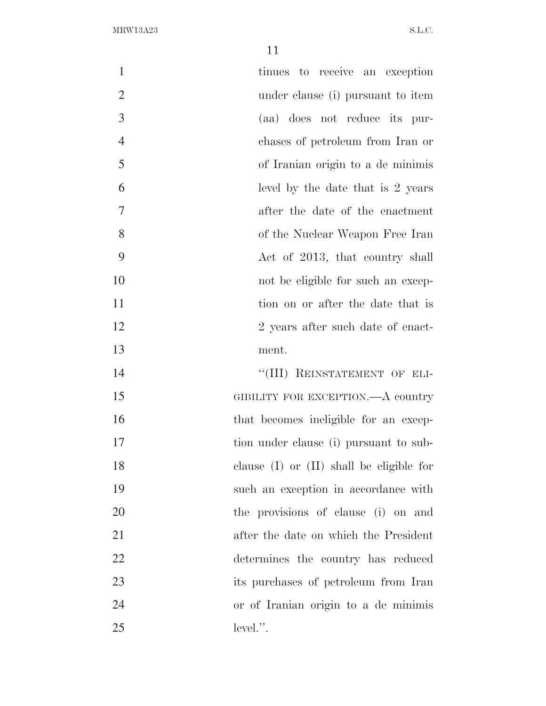| $\mathbf{1}$   | tinues to receive an exception               |
|----------------|----------------------------------------------|
| $\overline{2}$ | under clause (i) pursuant to item            |
| 3              | (aa) does not reduce its pur-                |
| $\overline{4}$ | chases of petroleum from Iran or             |
| 5              | of Iranian origin to a de minimis            |
| 6              | level by the date that is 2 years            |
| 7              | after the date of the enactment              |
| 8              | of the Nuclear Weapon Free Iran              |
| 9              | Act of 2013, that country shall              |
| 10             | not be eligible for such an excep-           |
| 11             | tion on or after the date that is            |
| 12             | 2 years after such date of enact-            |
| 13             | ment.                                        |
| 14             | "(III) REINSTATEMENT OF ELI-                 |
| 15             | GIBILITY FOR EXCEPTION.—A country            |
| 16             | that becomes ineligible for an excep-        |
| 17             | tion under clause (i) pursuant to sub-       |
| 18             | clause $(I)$ or $(II)$ shall be eligible for |
| 19             | such an exception in accordance with         |
| 20             | the provisions of clause (i) on and          |
| 21             | after the date on which the President        |
| 22             | determines the country has reduced           |
| 23             | its purchases of petroleum from Iran         |
| 24             | or of Iranian origin to a de minimis         |
| 25             | $level."$ .                                  |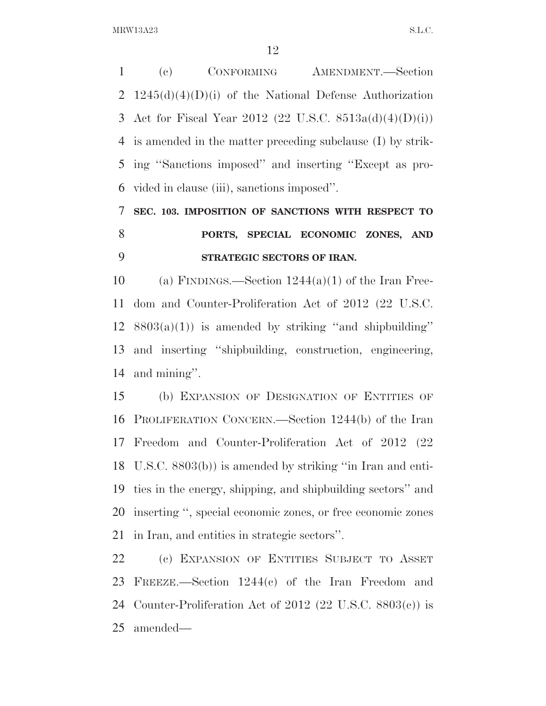(c) CONFORMING AMENDMENT.—Section  $1245(d)(4)(D)(i)$  of the National Defense Authorization Act for Fiscal Year 2012 (22 U.S.C. 8513a(d)(4)(D)(i)) is amended in the matter preceding subclause (I) by strik- ing ''Sanctions imposed'' and inserting ''Except as pro-vided in clause (iii), sanctions imposed''.

**SEC. 103. IMPOSITION OF SANCTIONS WITH RESPECT TO** 

## **PORTS, SPECIAL ECONOMIC ZONES, AND STRATEGIC SECTORS OF IRAN.**

10 (a) FINDINGS.—Section  $1244(a)(1)$  of the Iran Free- dom and Counter-Proliferation Act of 2012 (22 U.S.C.  $8803(a)(1)$  is amended by striking "and shipbuilding" and inserting ''shipbuilding, construction, engineering, and mining''.

 (b) EXPANSION OF DESIGNATION OF ENTITIES OF PROLIFERATION CONCERN.—Section 1244(b) of the Iran Freedom and Counter-Proliferation Act of 2012 (22 U.S.C. 8803(b)) is amended by striking ''in Iran and enti- ties in the energy, shipping, and shipbuilding sectors'' and inserting '', special economic zones, or free economic zones in Iran, and entities in strategic sectors''.

 (c) EXPANSION OF ENTITIES SUBJECT TO ASSET FREEZE.—Section 1244(c) of the Iran Freedom and Counter-Proliferation Act of 2012 (22 U.S.C. 8803(c)) is amended—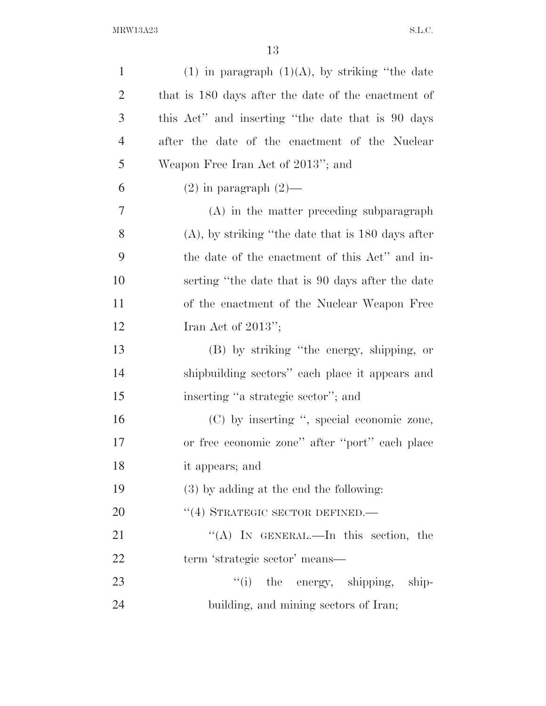| $\mathbf{1}$   | $(1)$ in paragraph $(1)(A)$ , by striking "the date  |
|----------------|------------------------------------------------------|
| $\overline{2}$ | that is 180 days after the date of the enactment of  |
| 3              | this Act" and inserting "the date that is 90 days    |
| $\overline{4}$ | after the date of the enactment of the Nuclear       |
| 5              | Weapon Free Iran Act of 2013"; and                   |
| 6              | $(2)$ in paragraph $(2)$ —                           |
| $\overline{7}$ | (A) in the matter preceding subparagraph             |
| 8              | $(A)$ , by striking "the date that is 180 days after |
| 9              | the date of the enactment of this Act" and in-       |
| 10             | serting "the date that is 90 days after the date     |
| 11             | of the enactment of the Nuclear Weapon Free          |
| 12             | Iran Act of $2013$ ";                                |
| 13             | (B) by striking "the energy, shipping, or            |
| 14             | shipbuilding sectors" each place it appears and      |
| 15             | inserting "a strategic sector"; and                  |
| 16             | (C) by inserting ", special economic zone,           |
| 17             | or free economic zone" after "port" each place       |
| 18             | it appears; and                                      |
| 19             | (3) by adding at the end the following:              |
| 20             | "(4) STRATEGIC SECTOR DEFINED.—                      |
| 21             | "(A) IN GENERAL.—In this section, the                |
| 22             | term 'strategic sector' means—                       |
| 23             | ``(i)<br>the energy, shipping, ship-                 |
| 24             | building, and mining sectors of Iran;                |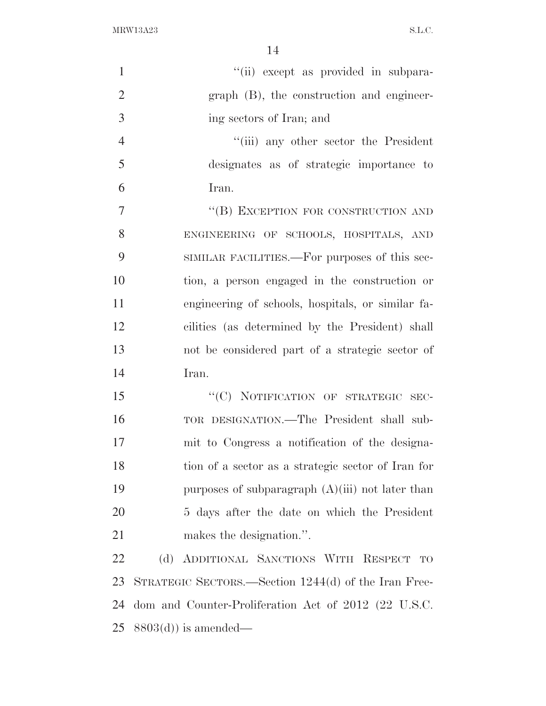| $\mathbf{1}$   | "(ii) except as provided in subpara-                 |
|----------------|------------------------------------------------------|
| $\overline{2}$ | graph (B), the construction and engineer-            |
| 3              | ing sectors of Iran; and                             |
| $\overline{4}$ | "(iii) any other sector the President                |
| 5              | designates as of strategic importance to             |
| 6              | Iran.                                                |
| $\overline{7}$ | "(B) EXCEPTION FOR CONSTRUCTION AND                  |
| 8              | ENGINEERING OF SCHOOLS, HOSPITALS, AND               |
| 9              | SIMILAR FACILITIES.—For purposes of this sec-        |
| 10             | tion, a person engaged in the construction or        |
| 11             | engineering of schools, hospitals, or similar fa-    |
| 12             | cilities (as determined by the President) shall      |
| 13             | not be considered part of a strategic sector of      |
| 14             | Iran.                                                |
| 15             | "(C) NOTIFICATION OF STRATEGIC SEC-                  |
| 16             | TOR DESIGNATION.—The President shall sub-            |
| 17             | mit to Congress a notification of the designa-       |
| 18             | tion of a sector as a strategic sector of Iran for   |
| 19             | purposes of subparagraph $(A)(iii)$ not later than   |
| 20             | 5 days after the date on which the President         |
| 21             | makes the designation.".                             |
| 22             | (d) ADDITIONAL SANCTIONS WITH RESPECT<br><b>TO</b>   |
| 23             | STRATEGIC SECTORS.—Section 1244(d) of the Iran Free- |
| 24             | dom and Counter-Proliferation Act of 2012 (22 U.S.C. |
|                |                                                      |

8803(d)) is amended—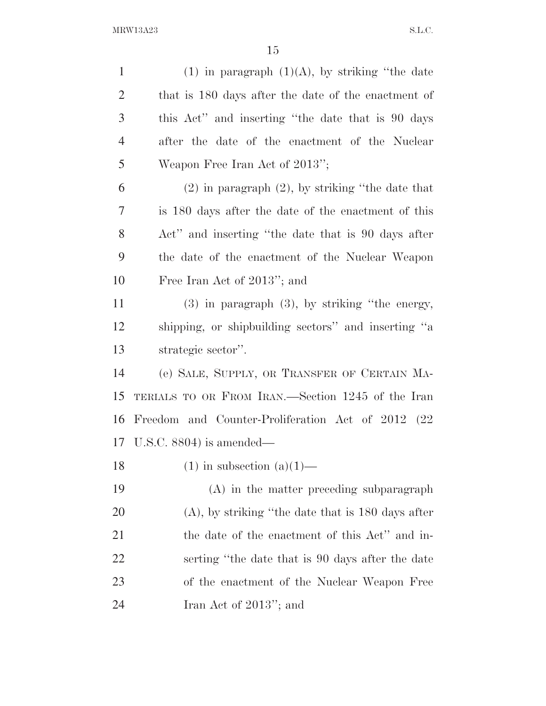1 (1) in paragraph  $(1)(A)$ , by striking "the date that is 180 days after the date of the enactment of this Act'' and inserting ''the date that is 90 days after the date of the enactment of the Nuclear Weapon Free Iran Act of 2013''; (2) in paragraph (2), by striking ''the date that is 180 days after the date of the enactment of this Act'' and inserting ''the date that is 90 days after the date of the enactment of the Nuclear Weapon Free Iran Act of 2013''; and (3) in paragraph (3), by striking ''the energy, shipping, or shipbuilding sectors'' and inserting ''a strategic sector''. (e) SALE, SUPPLY, OR TRANSFER OF CERTAIN MA- TERIALS TO OR FROM IRAN.—Section 1245 of the Iran Freedom and Counter-Proliferation Act of 2012 (22 U.S.C. 8804) is amended— 18 (1) in subsection  $(a)(1)$ — (A) in the matter preceding subparagraph (A), by striking ''the date that is 180 days after the date of the enactment of this Act'' and in- serting ''the date that is 90 days after the date of the enactment of the Nuclear Weapon Free Iran Act of 2013''; and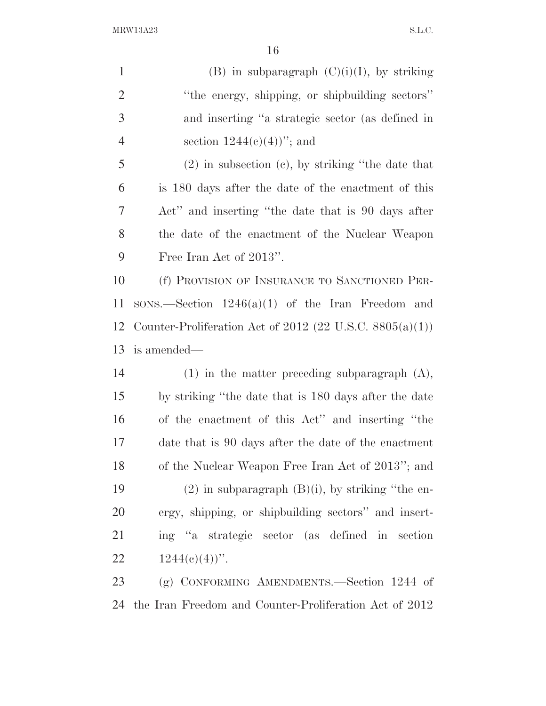1 (B) in subparagraph  $(C)(i)(I)$ , by striking 2 "the energy, shipping, or shipbuilding sectors" and inserting ''a strategic sector (as defined in 4 section  $1244(c)(4)$ "; and (2) in subsection (c), by striking ''the date that is 180 days after the date of the enactment of this Act'' and inserting ''the date that is 90 days after the date of the enactment of the Nuclear Weapon Free Iran Act of 2013''. (f) PROVISION OF INSURANCE TO SANCTIONED PER- SONS.—Section 1246(a)(1) of the Iran Freedom and Counter-Proliferation Act of 2012 (22 U.S.C. 8805(a)(1)) is amended— (1) in the matter preceding subparagraph (A), by striking ''the date that is 180 days after the date of the enactment of this Act'' and inserting ''the date that is 90 days after the date of the enactment of the Nuclear Weapon Free Iran Act of 2013''; and 19 (2) in subparagraph  $(B)(i)$ , by striking "the en- ergy, shipping, or shipbuilding sectors'' and insert- ing ''a strategic sector (as defined in section  $1244(e)(4)$ ". (g) CONFORMING AMENDMENTS.—Section 1244 of the Iran Freedom and Counter-Proliferation Act of 2012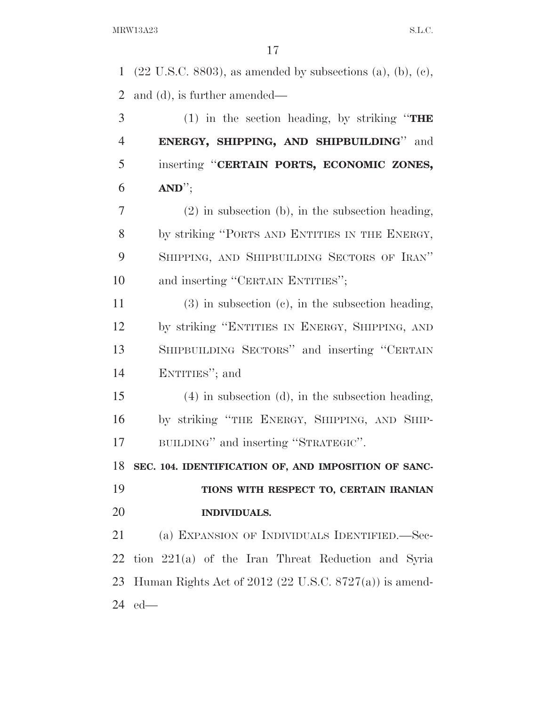(22 U.S.C. 8803), as amended by subsections (a), (b), (c), and (d), is further amended— (1) in the section heading, by striking ''**THE ENERGY, SHIPPING, AND SHIPBUILDING**'' and inserting ''**CERTAIN PORTS, ECONOMIC ZONES, AND**''; (2) in subsection (b), in the subsection heading, 8 by striking "PORTS AND ENTITIES IN THE ENERGY, SHIPPING, AND SHIPBUILDING SECTORS OF IRAN'' 10 and inserting "CERTAIN ENTITIES"; (3) in subsection (c), in the subsection heading, by striking ''ENTITIES IN ENERGY, SHIPPING, AND SHIPBUILDING SECTORS'' and inserting ''CERTAIN ENTITIES''; and (4) in subsection (d), in the subsection heading, by striking ''THE ENERGY, SHIPPING, AND SHIP- BUILDING'' and inserting ''STRATEGIC''. **SEC. 104. IDENTIFICATION OF, AND IMPOSITION OF SANC- TIONS WITH RESPECT TO, CERTAIN IRANIAN INDIVIDUALS.**  (a) EXPANSION OF INDIVIDUALS IDENTIFIED.—Sec- tion 221(a) of the Iran Threat Reduction and Syria Human Rights Act of 2012 (22 U.S.C. 8727(a)) is amend-ed—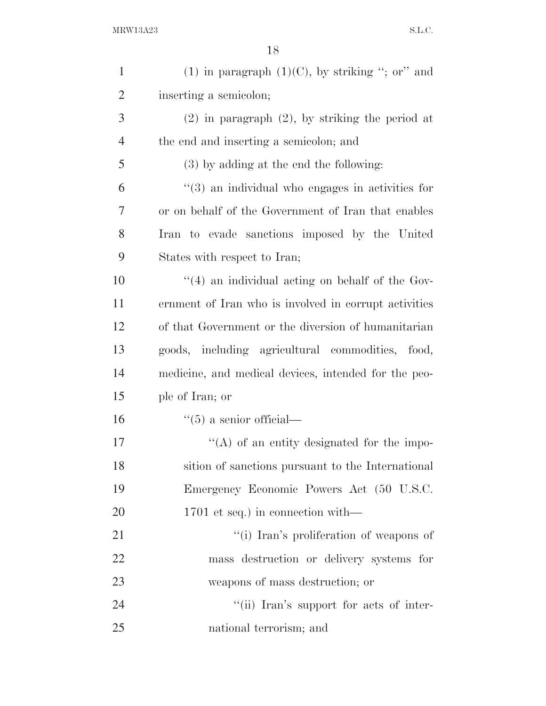| $\mathbf{1}$   | (1) in paragraph $(1)(C)$ , by striking "; or" and    |
|----------------|-------------------------------------------------------|
| $\overline{2}$ | inserting a semicolon;                                |
| 3              | $(2)$ in paragraph $(2)$ , by striking the period at  |
| $\overline{4}$ | the end and inserting a semicolon; and                |
| 5              | (3) by adding at the end the following:               |
| 6              | $(3)$ an individual who engages in activities for     |
| 7              | or on behalf of the Government of Iran that enables   |
| 8              | Iran to evade sanctions imposed by the United         |
| 9              | States with respect to Iran;                          |
| 10             | "(4) an individual acting on behalf of the Gov-       |
| 11             | ernment of Iran who is involved in corrupt activities |
| 12             | of that Government or the diversion of humanitarian   |
| 13             | goods, including agricultural commodities,<br>food,   |
| 14             | medicine, and medical devices, intended for the peo-  |
| 15             | ple of Iran; or                                       |
| 16             | $\lq(5)$ a senior official—                           |
| 17             | $\lq\lq$ of an entity designated for the impo-        |
| 18             | sition of sanctions pursuant to the International     |
| 19             | Emergency Economic Powers Act (50 U.S.C.              |
| 20             | 1701 et seq.) in connection with—                     |
| 21             | "(i) Iran's proliferation of weapons of               |
| 22             | mass destruction or delivery systems for              |
| 23             | weapons of mass destruction; or                       |
| 24             | "(ii) Iran's support for acts of inter-               |
| 25             | national terrorism; and                               |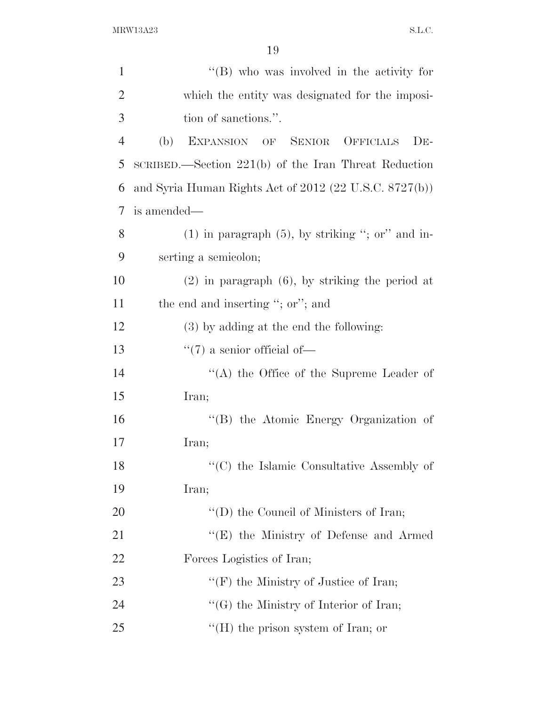| $\mathbf{1}$   | "(B) who was involved in the activity for                         |
|----------------|-------------------------------------------------------------------|
| $\overline{2}$ | which the entity was designated for the imposi-                   |
| 3              | tion of sanctions.".                                              |
| $\overline{4}$ | EXPANSION OF<br><b>SENIOR</b><br><b>OFFICIALS</b><br>(b)<br>$DE-$ |
| 5              | $SCRIBED$ . Section 221(b) of the Iran Threat Reduction           |
| 6              | and Syria Human Rights Act of $2012$ (22 U.S.C. $8727(b)$ )       |
| 7              | is amended—                                                       |
| 8              | $(1)$ in paragraph $(5)$ , by striking "; or" and in-             |
| 9              | serting a semicolon;                                              |
| 10             | $(2)$ in paragraph $(6)$ , by striking the period at              |
| 11             | the end and inserting "; or"; and                                 |
| 12             | (3) by adding at the end the following:                           |
| 13             | $\lq(7)$ a senior official of-                                    |
| 14             | $\lq\lq$ the Office of the Supreme Leader of                      |
| 15             | Iran;                                                             |
| 16             | "(B) the Atomic Energy Organization of                            |
| 17             | Iran;                                                             |
| 18             | "(C) the Islamic Consultative Assembly of                         |
| 19             | Iran;                                                             |
| 20             | $\lq\lq$ the Council of Ministers of Iran;                        |
| 21             | $\lq\lq(E)$ the Ministry of Defense and Armed                     |
| 22             | Forces Logistics of Iran;                                         |
| 23             | "(F) the Ministry of Justice of Iran;                             |
| 24             | $\lq\lq(G)$ the Ministry of Interior of Iran;                     |
| 25             | $\lq\lq(H)$ the prison system of Iran; or                         |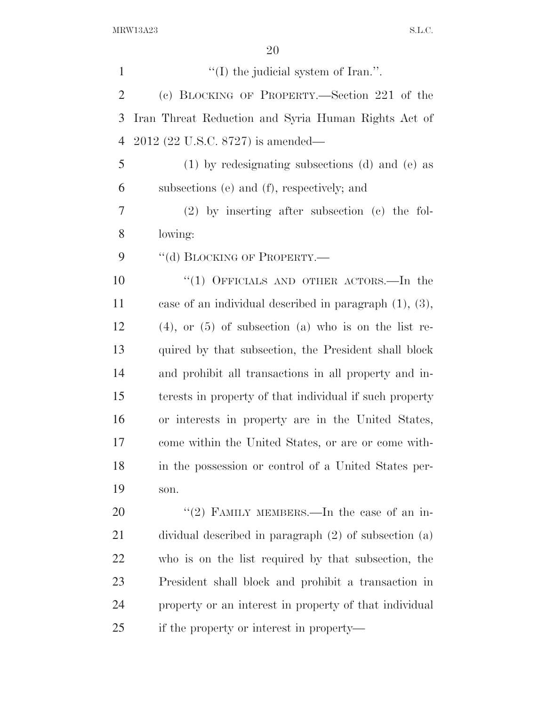$\langle (I)$  the judicial system of Iran.". (c) BLOCKING OF PROPERTY.—Section 221 of the Iran Threat Reduction and Syria Human Rights Act of 2012 (22 U.S.C. 8727) is amended— (1) by redesignating subsections (d) and (e) as subsections (e) and (f), respectively; and (2) by inserting after subsection (c) the fol- lowing: 9 "(d) BLOCKING OF PROPERTY.— 10 "(1) OFFICIALS AND OTHER ACTORS.—In the case of an individual described in paragraph (1), (3), (4), or (5) of subsection (a) who is on the list re- quired by that subsection, the President shall block and prohibit all transactions in all property and in- terests in property of that individual if such property or interests in property are in the United States, come within the United States, or are or come with- in the possession or control of a United States per- son.  $(2)$  FAMILY MEMBERS.—In the case of an in- dividual described in paragraph (2) of subsection (a) who is on the list required by that subsection, the President shall block and prohibit a transaction in property or an interest in property of that individual if the property or interest in property—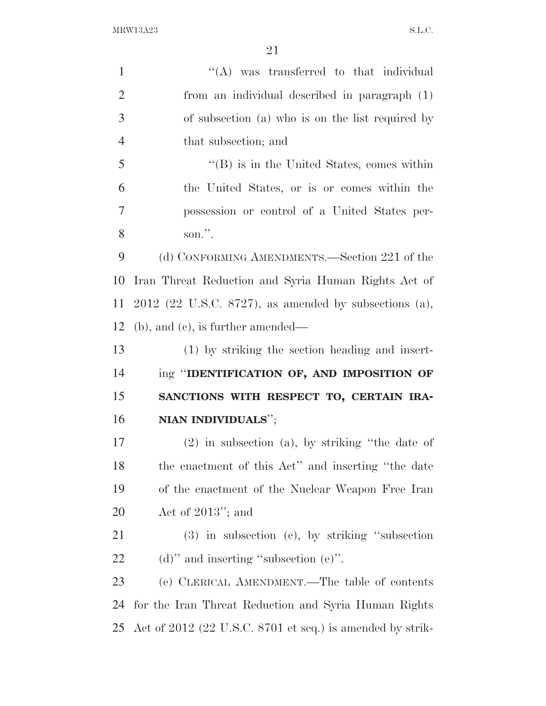| $\mathbf{1}$   | $\lq\lq$ was transferred to that individual               |
|----------------|-----------------------------------------------------------|
| $\overline{2}$ | from an individual described in paragraph (1)             |
| 3              | of subsection (a) who is on the list required by          |
| $\overline{4}$ | that subsection; and                                      |
| 5              | $\lq\lq$ (B) is in the United States, comes within        |
| 6              | the United States, or is or comes within the              |
| $\overline{7}$ | possession or control of a United States per-             |
| 8              | son.".                                                    |
| 9              | (d) CONFORMING AMENDMENTS.—Section 221 of the             |
| 10             | Iran Threat Reduction and Syria Human Rights Act of       |
| 11             | $2012$ (22 U.S.C. 8727), as amended by subsections (a),   |
| 12             | $(b)$ , and $(c)$ , is further amended—                   |
| 13             | (1) by striking the section heading and insert-           |
| 14             | ing "IDENTIFICATION OF, AND IMPOSITION OF                 |
| 15             | SANCTIONS WITH RESPECT TO, CERTAIN IRA-                   |
| 16             | NIAN INDIVIDUALS";                                        |
| 17             | $(2)$ in subsection $(a)$ , by striking "the date of      |
| 18             | the enactment of this Act" and inserting "the date"       |
| 19             | of the enactment of the Nuclear Weapon Free Iran          |
| 20             | Act of $2013$ "; and                                      |
| 21             | $(3)$ in subsection $(e)$ , by striking "subsection       |
| 22             | $(d)$ " and inserting "subsection $(e)$ ".                |
| 23             | (e) CLERICAL AMENDMENT.—The table of contents             |
| 24             | for the Iran Threat Reduction and Syria Human Rights      |
| 25             | Act of 2012 (22 U.S.C. 8701 et seq.) is amended by strik- |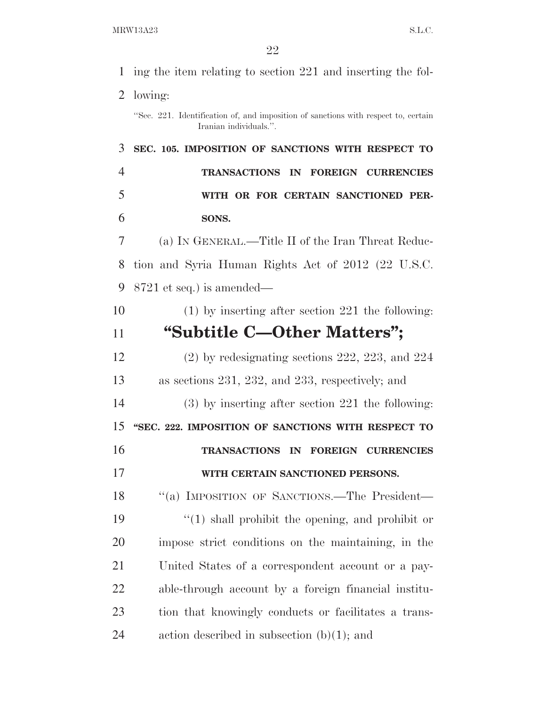| 1              | ing the item relating to section 221 and inserting the fol-                                                  |
|----------------|--------------------------------------------------------------------------------------------------------------|
| 2              | lowing:                                                                                                      |
|                | "Sec. 221. Identification of, and imposition of sanctions with respect to, certain<br>Iranian individuals.". |
| 3              | SEC. 105. IMPOSITION OF SANCTIONS WITH RESPECT TO                                                            |
| $\overline{4}$ | <b>TRANSACTIONS</b><br>IN<br><b>FOREIGN CURRENCIES</b>                                                       |
| 5              | WITH OR FOR CERTAIN SANCTIONED PER-                                                                          |
| 6              | SONS.                                                                                                        |
| 7              | (a) IN GENERAL.—Title II of the Iran Threat Reduc-                                                           |
| 8              | tion and Syria Human Rights Act of 2012 (22 U.S.C.                                                           |
| 9              | $8721$ et seq.) is amended—                                                                                  |
| 10             | $(1)$ by inserting after section 221 the following:                                                          |
| 11             | "Subtitle C—Other Matters";                                                                                  |
| 12             | $(2)$ by redesignating sections 222, 223, and 224                                                            |
| 13             | as sections $231, 232,$ and $233$ , respectively; and                                                        |
| 14             | $(3)$ by inserting after section 221 the following:                                                          |
| 15             | "SEC. 222. IMPOSITION OF SANCTIONS WITH RESPECT TO                                                           |
| 16             | <b>TRANSACTIONS</b><br>IN<br><b>FOREIGN CURRENCIES</b>                                                       |
| 17             | WITH CERTAIN SANCTIONED PERSONS.                                                                             |
| 18             | "(a) IMPOSITION OF SANCTIONS.—The President—                                                                 |
| 19             | $\lq(1)$ shall prohibit the opening, and prohibit or                                                         |
| 20             | impose strict conditions on the maintaining, in the                                                          |
| 21             | United States of a correspondent account or a pay-                                                           |
| 22             | able-through account by a foreign financial institu-                                                         |
| 23             | tion that knowingly conducts or facilitates a trans-                                                         |
| 24             | action described in subsection $(b)(1)$ ; and                                                                |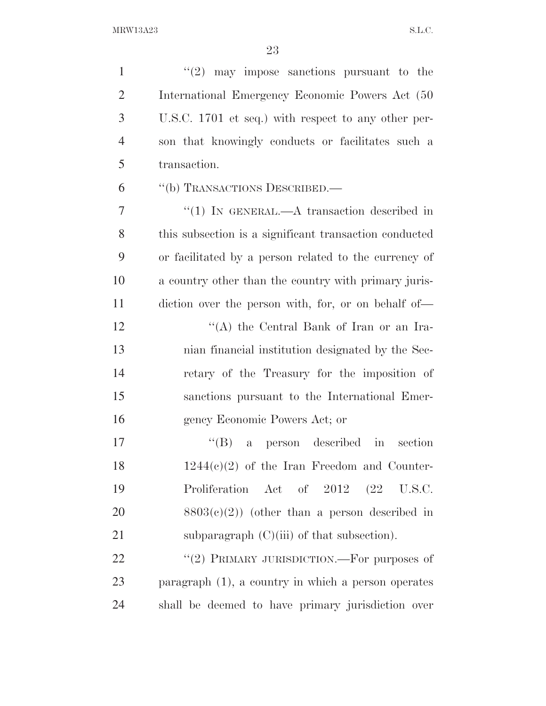| $\mathbf{1}$   | $(2)$ may impose sanctions pursuant to the             |
|----------------|--------------------------------------------------------|
| $\overline{2}$ | International Emergency Economic Powers Act (50)       |
| 3              | U.S.C. 1701 et seq.) with respect to any other per-    |
| $\overline{4}$ | son that knowingly conducts or facilitates such a      |
| 5              | transaction.                                           |
| 6              | "(b) TRANSACTIONS DESCRIBED.—                          |
| $\overline{7}$ | $``(1)$ IN GENERAL.—A transaction described in         |
| 8              | this subsection is a significant transaction conducted |
| 9              | or facilitated by a person related to the currency of  |
| 10             | a country other than the country with primary juris-   |
| 11             | diction over the person with, for, or on behalf of—    |
| 12             | "(A) the Central Bank of Iran or an Ira-               |
| 13             | nian financial institution designated by the Sec-      |
| 14             | retary of the Treasury for the imposition of           |
| 15             | sanctions pursuant to the International Emer-          |
| 16             | gency Economic Powers Act; or                          |
| 17             | ``(B)<br>a person described in<br>section              |
| 18             | $1244(e)(2)$ of the Iran Freedom and Counter-          |
| 19             | Proliferation Act of 2012 (22 U.S.C.                   |
| 20             | $8803(c)(2)$ (other than a person described in         |
| 21             | subparagraph $(C)(iii)$ of that subsection).           |
| 22             | "(2) PRIMARY JURISDICTION.—For purposes of             |
| 23             | paragraph $(1)$ , a country in which a person operates |
| 24             | shall be deemed to have primary jurisdiction over      |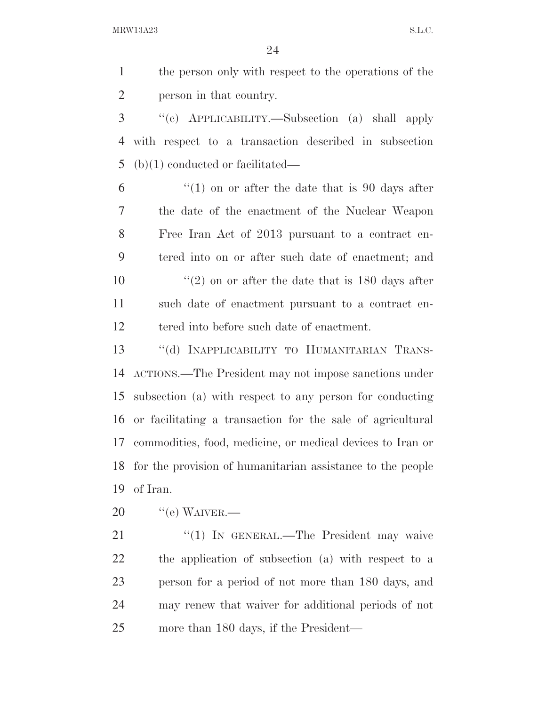the person only with respect to the operations of the person in that country.

 ''(c) APPLICABILITY.—Subsection (a) shall apply with respect to a transaction described in subsection (b)(1) conducted or facilitated—

 $\frac{6}{10}$  <sup>(1)</sup> on or after the date that is 90 days after the date of the enactment of the Nuclear Weapon Free Iran Act of 2013 pursuant to a contract en- tered into on or after such date of enactment; and  $\frac{1}{2}$  on or after the date that is 180 days after such date of enactment pursuant to a contract en-tered into before such date of enactment.

13 "(d) INAPPLICABILITY TO HUMANITARIAN TRANS- ACTIONS.—The President may not impose sanctions under subsection (a) with respect to any person for conducting or facilitating a transaction for the sale of agricultural commodities, food, medicine, or medical devices to Iran or for the provision of humanitarian assistance to the people of Iran.

 $20 \qquad$  "(e) WAIVER.

21 "(1) In GENERAL.—The President may waive the application of subsection (a) with respect to a person for a period of not more than 180 days, and may renew that waiver for additional periods of not more than 180 days, if the President—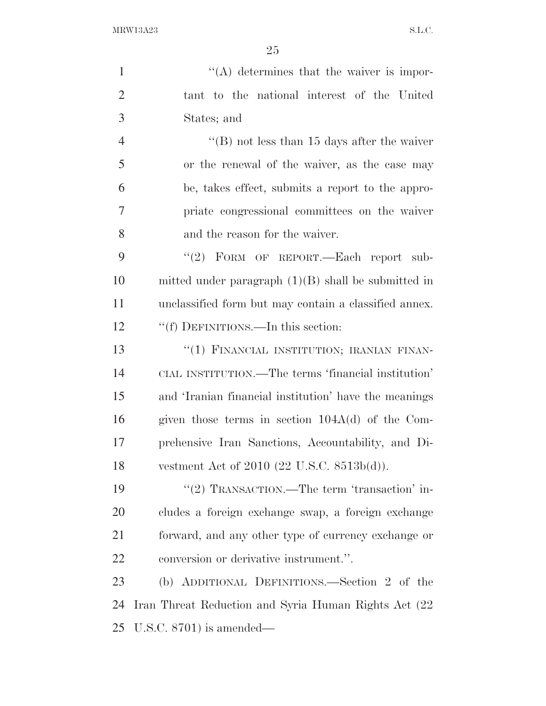| $\mathbf{1}$   | $\lq\lq$ determines that the waiver is impor-         |
|----------------|-------------------------------------------------------|
| $\overline{2}$ | tant to the national interest of the United           |
| 3              | States; and                                           |
| $\overline{4}$ | "(B) not less than 15 days after the waiver           |
| 5              | or the renewal of the waiver, as the case may         |
| 6              | be, takes effect, submits a report to the appro-      |
| 7              | priate congressional committees on the waiver         |
| 8              | and the reason for the waiver.                        |
| 9              | "(2) FORM OF REPORT.—Each report sub-                 |
| 10             | mitted under paragraph $(1)(B)$ shall be submitted in |
| 11             | unclassified form but may contain a classified annex. |
| 12             | "(f) DEFINITIONS.—In this section:                    |
| 13             | "(1) FINANCIAL INSTITUTION; IRANIAN FINAN-            |
| 14             | CIAL INSTITUTION.—The terms 'financial institution'   |
| 15             | and 'Iranian financial institution' have the meanings |
| 16             | given those terms in section $104A(d)$ of the Com-    |
| 17             | prehensive Iran Sanctions, Accountability, and Di-    |
| 18             | vestment Act of $2010$ (22 U.S.C. $8513b(d)$ ).       |
| 19             | "(2) TRANSACTION.—The term 'transaction' in-          |
| 20             | cludes a foreign exchange swap, a foreign exchange    |
| 21             | forward, and any other type of currency exchange or   |
| 22             | conversion or derivative instrument.".                |
| 23             | (b) ADDITIONAL DEFINITIONS.—Section 2 of the          |
| 24             | Iran Threat Reduction and Syria Human Rights Act (22) |
| 25             | U.S.C. $8701$ ) is amended—                           |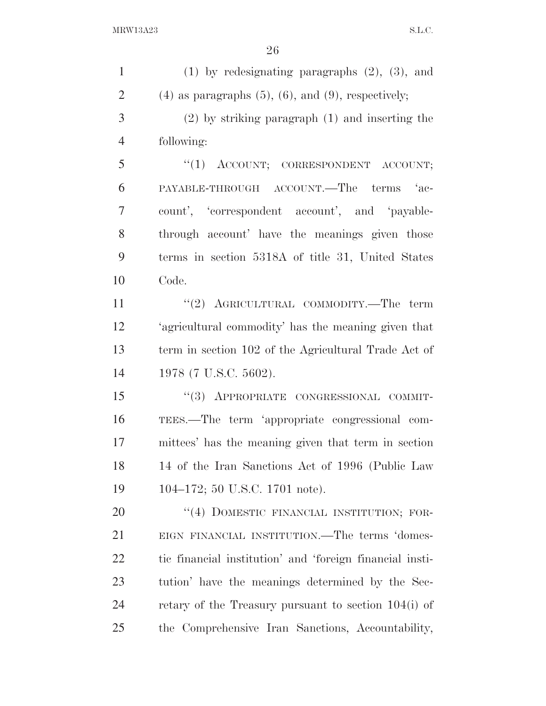| $\mathbf{1}$   | $(1)$ by redesignating paragraphs $(2)$ , $(3)$ , and         |
|----------------|---------------------------------------------------------------|
| $\overline{2}$ | $(4)$ as paragraphs $(5)$ , $(6)$ , and $(9)$ , respectively; |
| 3              | $(2)$ by striking paragraph $(1)$ and inserting the           |
| $\overline{4}$ | following:                                                    |
| 5              | "(1) ACCOUNT; CORRESPONDENT ACCOUNT;                          |
| 6              | PAYABLE-THROUGH ACCOUNT.—The terms 'ac-                       |
| 7              | count', 'correspondent account', and 'payable-                |
| 8              | through account' have the meanings given those                |
| 9              | terms in section 5318A of title 31, United States             |
| 10             | Code.                                                         |
| 11             | "(2) AGRICULTURAL COMMODITY.—The term                         |
| 12             | 'agricultural commodity' has the meaning given that           |
| 13             | term in section 102 of the Agricultural Trade Act of          |
| 14             | 1978 (7 U.S.C. 5602).                                         |
| 15             | "(3) APPROPRIATE CONGRESSIONAL COMMIT-                        |
| 16             | TEES.—The term 'appropriate congressional com-                |
| 17             | mittees' has the meaning given that term in section           |
| 18             | 14 of the Iran Sanctions Act of 1996 (Public Law              |
| 19             | 104-172; 50 U.S.C. 1701 note).                                |
| 20             | "(4) DOMESTIC FINANCIAL INSTITUTION; FOR-                     |
| 21             | EIGN FINANCIAL INSTITUTION.—The terms 'domes-                 |
| <u>22</u>      | tic financial institution' and 'foreign financial insti-      |
| 23             | tution' have the meanings determined by the Sec-              |
| 24             | retary of the Treasury pursuant to section $104(i)$ of        |
| 25             | the Comprehensive Iran Sanctions, Accountability,             |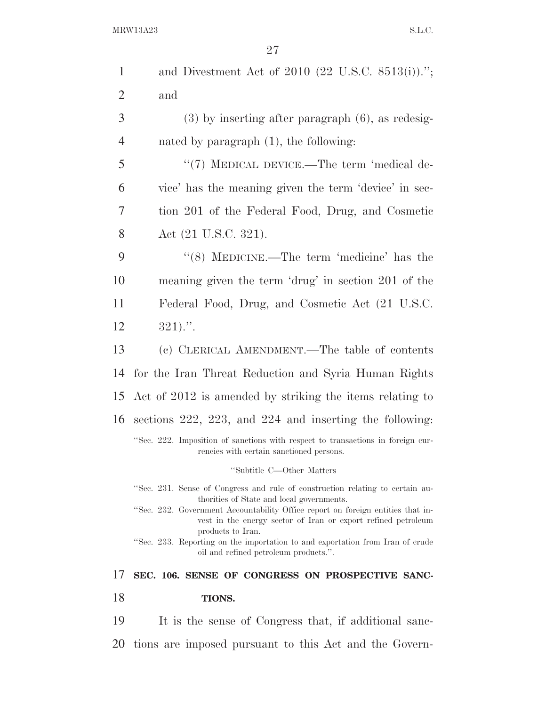| $\mathbf{1}$   | and Divestment Act of 2010 (22 U.S.C. 8513(i)).";                                                                                                                                             |
|----------------|-----------------------------------------------------------------------------------------------------------------------------------------------------------------------------------------------|
| $\overline{2}$ | and                                                                                                                                                                                           |
| 3              | $(3)$ by inserting after paragraph $(6)$ , as redesig-                                                                                                                                        |
| 4              | nated by paragraph $(1)$ , the following:                                                                                                                                                     |
| 5              | " $(7)$ MEDICAL DEVICE.—The term 'medical de-                                                                                                                                                 |
| 6              | vice' has the meaning given the term 'device' in sec-                                                                                                                                         |
| 7              | tion 201 of the Federal Food, Drug, and Cosmetic                                                                                                                                              |
| 8              | Act (21 U.S.C. 321).                                                                                                                                                                          |
| 9              | $\cdot$ (8) MEDICINE.—The term 'medicine' has the                                                                                                                                             |
| 10             | meaning given the term 'drug' in section 201 of the                                                                                                                                           |
| 11             | Federal Food, Drug, and Cosmetic Act (21 U.S.C.                                                                                                                                               |
| 12             | $321$                                                                                                                                                                                         |
| 13             | (c) CLERICAL AMENDMENT.—The table of contents                                                                                                                                                 |
| 14             | for the Iran Threat Reduction and Syria Human Rights                                                                                                                                          |
| 15             | Act of 2012 is amended by striking the items relating to                                                                                                                                      |
|                |                                                                                                                                                                                               |
| 16             | sections $222$ , $223$ , and $224$ and inserting the following:                                                                                                                               |
|                | "Sec. 222. Imposition of sanctions with respect to transactions in foreign cur-<br>rencies with certain sanctioned persons.                                                                   |
|                | "Subtitle C-Other Matters                                                                                                                                                                     |
|                | "Sec. 231. Sense of Congress and rule of construction relating to certain au-                                                                                                                 |
|                | thorities of State and local governments.<br>"Sec. 232. Government Accountability Office report on foreign entities that in-<br>vest in the energy sector of Iran or export refined petroleum |
|                | products to Iran.<br>"Sec. 233. Reporting on the importation to and exportation from Iran of crude<br>oil and refined petroleum products.".                                                   |
| 17             | SEC. 106. SENSE OF CONGRESS ON PROSPECTIVE SANC-                                                                                                                                              |
| 18             | <b>TIONS.</b>                                                                                                                                                                                 |
| 19             | It is the sense of Congress that, if additional sanc-                                                                                                                                         |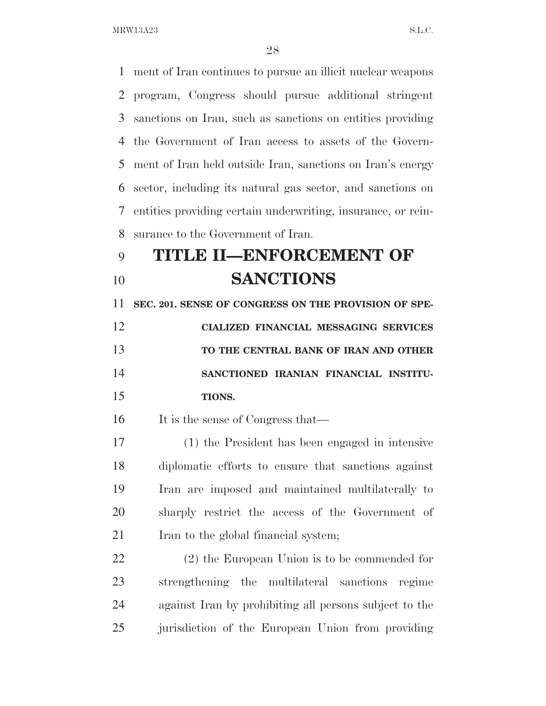ment of Iran continues to pursue an illicit nuclear weapons program, Congress should pursue additional stringent sanctions on Iran, such as sanctions on entities providing the Government of Iran access to assets of the Govern- ment of Iran held outside Iran, sanctions on Iran's energy sector, including its natural gas sector, and sanctions on entities providing certain underwriting, insurance, or rein-surance to the Government of Iran.

## **TITLE II—ENFORCEMENT OF SANCTIONS**

 **SEC. 201. SENSE OF CONGRESS ON THE PROVISION OF SPE- CIALIZED FINANCIAL MESSAGING SERVICES TO THE CENTRAL BANK OF IRAN AND OTHER** 

 **SANCTIONED IRANIAN FINANCIAL INSTITU-TIONS.** 

16 It is the sense of Congress that—

 (1) the President has been engaged in intensive diplomatic efforts to ensure that sanctions against Iran are imposed and maintained multilaterally to sharply restrict the access of the Government of 21 Iran to the global financial system;

 (2) the European Union is to be commended for strengthening the multilateral sanctions regime against Iran by prohibiting all persons subject to the jurisdiction of the European Union from providing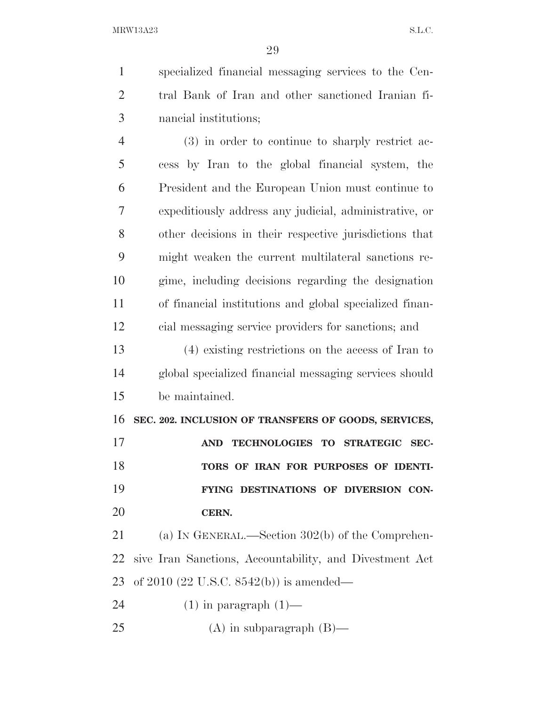specialized financial messaging services to the Cen- tral Bank of Iran and other sanctioned Iranian fi-nancial institutions;

 (3) in order to continue to sharply restrict ac- cess by Iran to the global financial system, the President and the European Union must continue to expeditiously address any judicial, administrative, or other decisions in their respective jurisdictions that might weaken the current multilateral sanctions re- gime, including decisions regarding the designation of financial institutions and global specialized finan-cial messaging service providers for sanctions; and

 (4) existing restrictions on the access of Iran to global specialized financial messaging services should be maintained.

**SEC. 202. INCLUSION OF TRANSFERS OF GOODS, SERVICES,** 

 **AND TECHNOLOGIES TO STRATEGIC SEC- TORS OF IRAN FOR PURPOSES OF IDENTI- FYING DESTINATIONS OF DIVERSION CON-CERN.** 

 (a) IN GENERAL.—Section 302(b) of the Comprehen- sive Iran Sanctions, Accountability, and Divestment Act of 2010 (22 U.S.C. 8542(b)) is amended—

24  $(1)$  in paragraph  $(1)$ —

25 (A) in subparagraph  $(B)$ —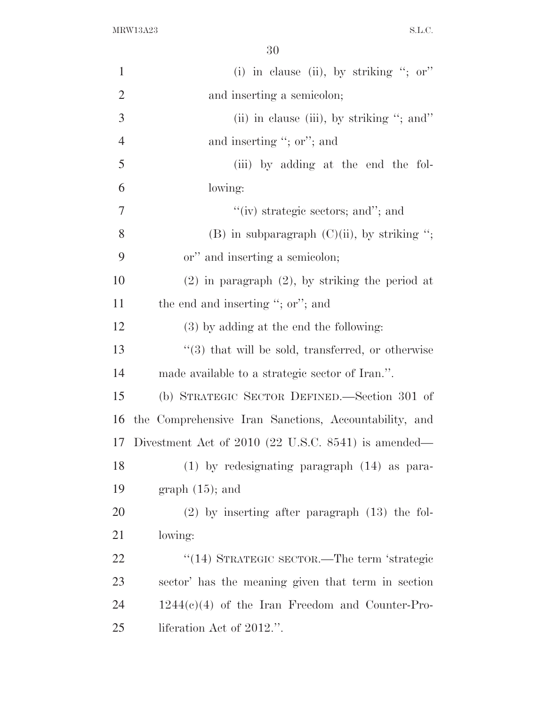| $\mathbf{1}$   | (i) in clause (ii), by striking "; or"                  |
|----------------|---------------------------------------------------------|
| $\overline{2}$ | and inserting a semicolon;                              |
| 3              | (ii) in clause (iii), by striking $\cdot$ ; and $\cdot$ |
| $\overline{4}$ | and inserting "; or"; and                               |
| 5              | (iii) by adding at the end the fol-                     |
| 6              | lowing:                                                 |
| $\overline{7}$ | "(iv) strategic sectors; and"; and                      |
| 8              | (B) in subparagraph $(C)(ii)$ , by striking ";          |
| 9              | or" and inserting a semicolon;                          |
| 10             | $(2)$ in paragraph $(2)$ , by striking the period at    |
| 11             | the end and inserting "; or"; and                       |
| 12             | (3) by adding at the end the following:                 |
| 13             | $\lq(3)$ that will be sold, transferred, or otherwise   |
| 14             | made available to a strategic sector of Iran.".         |
| 15             | (b) STRATEGIC SECTOR DEFINED.—Section 301 of            |
| 16             | the Comprehensive Iran Sanctions, Accountability, and   |
| 17             | Divestment Act of $2010$ (22 U.S.C. 8541) is amended—   |
| 18             | $(1)$ by redesignating paragraph $(14)$ as para-        |
| 19             | graph $(15)$ ; and                                      |
| 20             | $(2)$ by inserting after paragraph $(13)$ the fol-      |
| 21             | lowing:                                                 |
| <u>22</u>      | "(14) STRATEGIC SECTOR.—The term 'strategic             |
| 23             | sector' has the meaning given that term in section      |
| 24             | $1244(c)(4)$ of the Iran Freedom and Counter-Pro-       |
| 25             | liferation Act of 2012.".                               |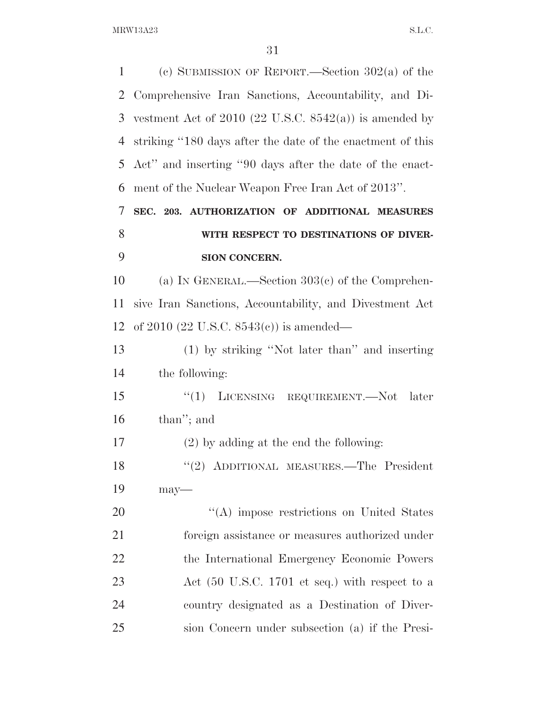| 1              | (c) SUBMISSION OF REPORT.—Section $302(a)$ of the          |
|----------------|------------------------------------------------------------|
| $\overline{2}$ | Comprehensive Iran Sanctions, Accountability, and Di-      |
| 3              | vestment Act of 2010 (22 U.S.C. $8542(a)$ ) is amended by  |
| 4              | striking "180 days after the date of the enactment of this |
| 5              | Act" and inserting "90 days after the date of the enact-   |
| 6              | ment of the Nuclear Weapon Free Iran Act of 2013".         |
| 7              | SEC. 203. AUTHORIZATION OF ADDITIONAL MEASURES             |
| 8              | WITH RESPECT TO DESTINATIONS OF DIVER-                     |
| 9              | <b>SION CONCERN.</b>                                       |
| 10             | (a) IN GENERAL.—Section $303(c)$ of the Comprehen-         |
| 11             | sive Iran Sanctions, Accountability, and Divestment Act    |
| 12             | of 2010 (22 U.S.C. $8543(e)$ ) is amended—                 |
| 13             | (1) by striking "Not later than" and inserting             |
| 14             | the following:                                             |
| 15             | ``(1)<br>LICENSING REQUIREMENT.—Not<br>later               |
| 16             | than"; and                                                 |
| 17             | $(2)$ by adding at the end the following:                  |
| 18             | "(2) ADDITIONAL MEASURES.—The President                    |
| 19             | $may$ —                                                    |
| 20             | "(A) impose restrictions on United States                  |
| 21             | foreign assistance or measures authorized under            |
| 22             | the International Emergency Economic Powers                |
| 23             | Act (50 U.S.C. 1701 et seq.) with respect to a             |
| 24             | country designated as a Destination of Diver-              |
| 25             | sion Concern under subsection (a) if the Presi-            |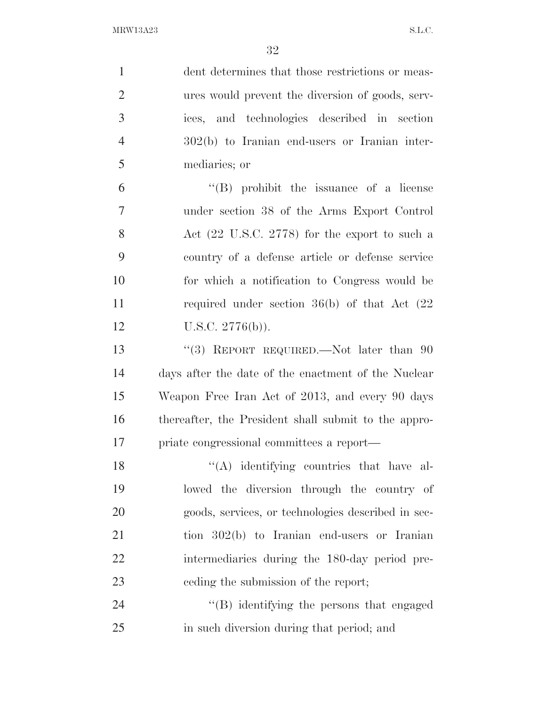| $\mathbf{1}$   | dent determines that those restrictions or meas-         |
|----------------|----------------------------------------------------------|
| $\overline{2}$ | ures would prevent the diversion of goods, serv-         |
| 3              | ices, and technologies described in section              |
| $\overline{4}$ | 302(b) to Iranian end-users or Iranian inter-            |
| 5              | mediaries; or                                            |
| 6              | $\lq\lq(B)$ prohibit the issuance of a license           |
| $\overline{7}$ | under section 38 of the Arms Export Control              |
| 8              | Act $(22 \text{ U.S.C. } 2778)$ for the export to such a |
| 9              | country of a defense article or defense service          |
| 10             | for which a notification to Congress would be            |
| 11             | required under section $36(b)$ of that Act $(22)$        |
| 12             | U.S.C. $2776(b)$ ).                                      |
| 13             | "(3) REPORT REQUIRED.—Not later than 90                  |
| 14             | days after the date of the enactment of the Nuclear      |
| 15             | Weapon Free Iran Act of 2013, and every 90 days          |
| 16             | thereafter, the President shall submit to the appro-     |
| 17             | priate congressional committees a report-                |
| 18             | "(A) identifying countries that have al-                 |
| 19             | lowed the diversion through the country of               |
| 20             | goods, services, or technologies described in sec-       |
| 21             | tion $302(b)$ to Iranian end-users or Iranian            |
| 22             | intermediaries during the 180-day period pre-            |
| 23             | eeding the submission of the report;                     |
| 24             | "(B) identifying the persons that engaged                |
| 25             | in such diversion during that period; and                |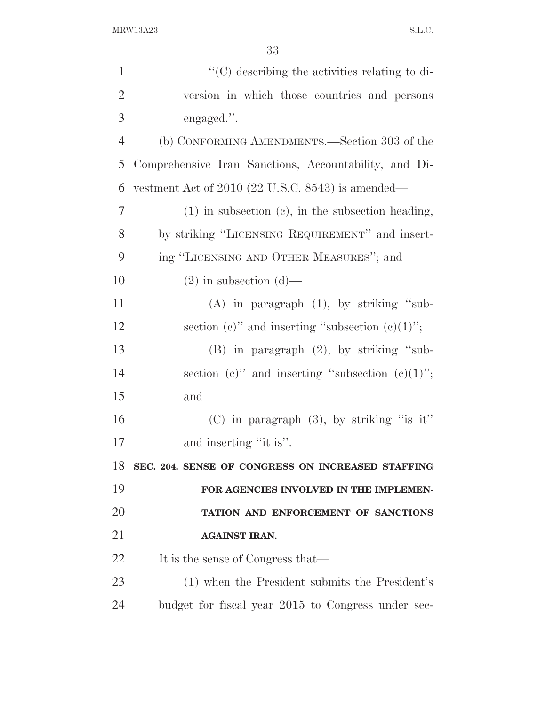| $\lq\lq$ (C) describing the activities relating to di- |
|--------------------------------------------------------|
| version in which those countries and persons           |
| engaged.".                                             |
| (b) CONFORMING AMENDMENTS.—Section 303 of the          |
| Comprehensive Iran Sanctions, Accountability, and Di-  |
| vestment Act of $2010$ (22 U.S.C. 8543) is amended—    |
| $(1)$ in subsection (c), in the subsection heading,    |
| by striking "LICENSING REQUIREMENT" and insert-        |
| ing "LICENSING AND OTHER MEASURES"; and                |
| $(2)$ in subsection $(d)$ —                            |
| $(A)$ in paragraph $(1)$ , by striking "sub-           |
| section (c)" and inserting "subsection (c) $(1)$ ";    |
| $(B)$ in paragraph $(2)$ , by striking "sub-           |
| section (c)" and inserting "subsection (c) $(1)$ ";    |
| and                                                    |
| $(C)$ in paragraph $(3)$ , by striking "is it"         |
| and inserting "it is".                                 |
| SEC. 204. SENSE OF CONGRESS ON INCREASED STAFFING      |
| FOR AGENCIES INVOLVED IN THE IMPLEMEN-                 |
| TATION AND ENFORCEMENT OF SANCTIONS                    |
| <b>AGAINST IRAN.</b>                                   |
| It is the sense of Congress that—                      |
| (1) when the President submits the President's         |
| budget for fiscal year 2015 to Congress under sec-     |
|                                                        |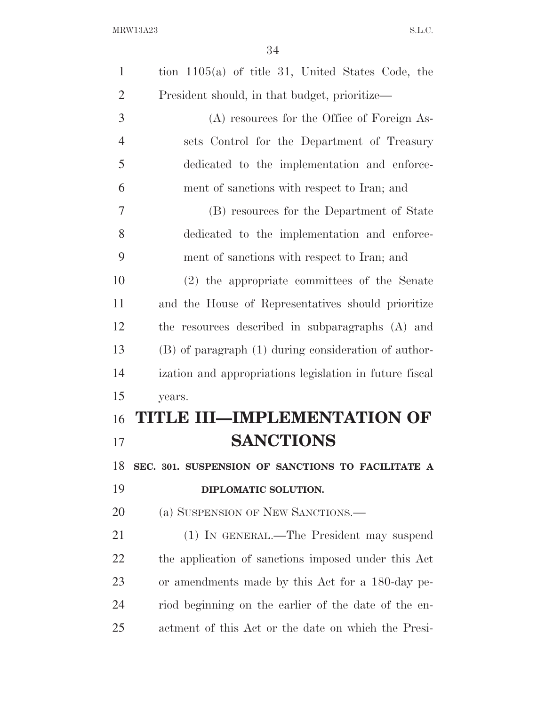| $\mathbf{1}$   | tion $1105(a)$ of title 31, United States Code, the     |
|----------------|---------------------------------------------------------|
| $\overline{2}$ | President should, in that budget, prioritize—           |
| 3              | (A) resources for the Office of Foreign As-             |
| $\overline{4}$ | sets Control for the Department of Treasury             |
| 5              | dedicated to the implementation and enforce-            |
| 6              | ment of sanctions with respect to Iran; and             |
| $\tau$         | (B) resources for the Department of State               |
| 8              | dedicated to the implementation and enforce-            |
| 9              | ment of sanctions with respect to Iran; and             |
| 10             | (2) the appropriate committees of the Senate            |
| 11             | and the House of Representatives should prioritize      |
| 12             | the resources described in subparagraphs (A) and        |
| 13             | (B) of paragraph (1) during consideration of author-    |
| 14             | ization and appropriations legislation in future fiscal |
| 15             | years.                                                  |
| 16             | TITLE III—IMPLEMENTATION OF                             |
| 17             | <b>SANCTIONS</b>                                        |
| 18             | SEC. 301. SUSPENSION OF SANCTIONS TO FACILITATE A       |
| 19             | DIPLOMATIC SOLUTION.                                    |
| 20             | (a) SUSPENSION OF NEW SANCTIONS.—                       |
| 21             | (1) IN GENERAL.—The President may suspend               |
| 22             | the application of sanctions imposed under this Act     |
| 23             | or amendments made by this Act for a 180-day pe-        |
| 24             | riod beginning on the earlier of the date of the en-    |
| 25             | actment of this Act or the date on which the Presi-     |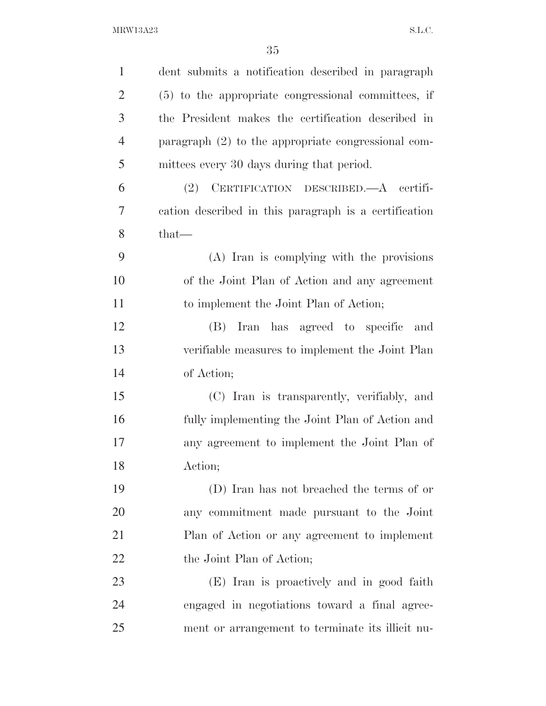| $\mathbf{1}$   | dent submits a notification described in paragraph    |
|----------------|-------------------------------------------------------|
| $\overline{2}$ | $(5)$ to the appropriate congressional committees, if |
| 3              | the President makes the certification described in    |
| $\overline{4}$ | paragraph $(2)$ to the appropriate congressional com- |
| 5              | mittees every 30 days during that period.             |
| 6              | (2) CERTIFICATION DESCRIBED.-A certifi-               |
| 7              | cation described in this paragraph is a certification |
| 8              | $that-$                                               |
| 9              | (A) Iran is complying with the provisions             |
| 10             | of the Joint Plan of Action and any agreement         |
| 11             | to implement the Joint Plan of Action;                |
| 12             | (B) Iran has agreed to specific<br>and                |
| 13             | verifiable measures to implement the Joint Plan       |
| 14             | of Action;                                            |
| 15             | (C) Iran is transparently, verifiably, and            |
| 16             | fully implementing the Joint Plan of Action and       |
| 17             | any agreement to implement the Joint Plan of          |
| 18             | Action;                                               |
| 19             | (D) Iran has not breached the terms of or             |
| 20             | any commitment made pursuant to the Joint             |
| 21             | Plan of Action or any agreement to implement          |
| 22             | the Joint Plan of Action;                             |
| 23             | (E) Iran is proactively and in good faith             |
| 24             | engaged in negotiations toward a final agree-         |
| 25             | ment or arrangement to terminate its illicit nu-      |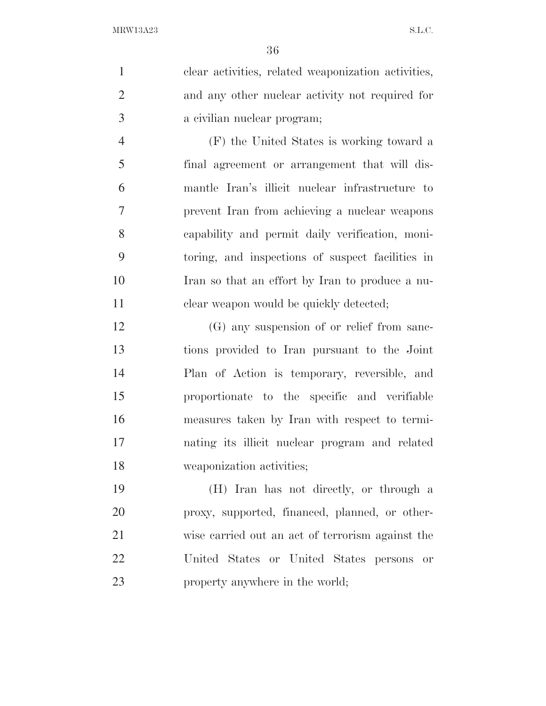clear activities, related weaponization activities, and any other nuclear activity not required for a civilian nuclear program;

 (F) the United States is working toward a final agreement or arrangement that will dis- mantle Iran's illicit nuclear infrastructure to prevent Iran from achieving a nuclear weapons capability and permit daily verification, moni- toring, and inspections of suspect facilities in Iran so that an effort by Iran to produce a nu-11 clear weapon would be quickly detected;

 (G) any suspension of or relief from sanc- tions provided to Iran pursuant to the Joint Plan of Action is temporary, reversible, and proportionate to the specific and verifiable measures taken by Iran with respect to termi- nating its illicit nuclear program and related weaponization activities;

 (H) Iran has not directly, or through a proxy, supported, financed, planned, or other- wise carried out an act of terrorism against the United States or United States persons or property anywhere in the world;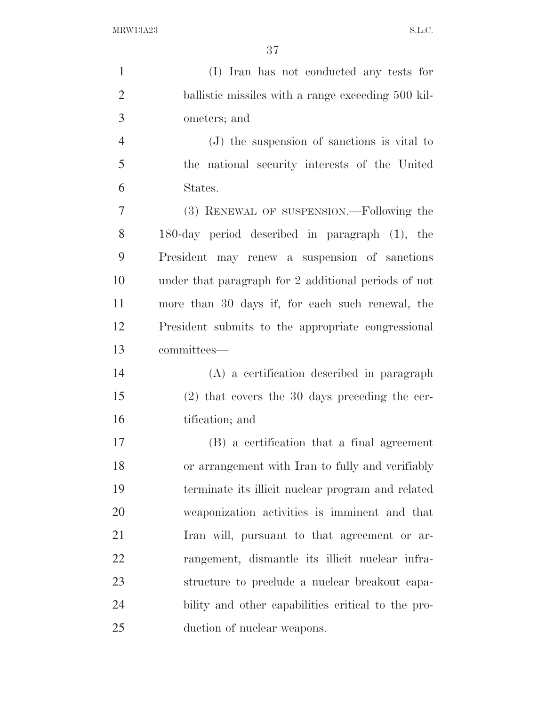(I) Iran has not conducted any tests for ballistic missiles with a range exceeding 500 kil- ometers; and (J) the suspension of sanctions is vital to the national security interests of the United States. (3) RENEWAL OF SUSPENSION.—Following the 180-day period described in paragraph (1), the President may renew a suspension of sanctions under that paragraph for 2 additional periods of not more than 30 days if, for each such renewal, the President submits to the appropriate congressional committees— (A) a certification described in paragraph (2) that covers the 30 days preceding the cer- tification; and (B) a certification that a final agreement or arrangement with Iran to fully and verifiably terminate its illicit nuclear program and related weaponization activities is imminent and that Iran will, pursuant to that agreement or ar- rangement, dismantle its illicit nuclear infra-structure to preclude a nuclear breakout capa-

duction of nuclear weapons.

bility and other capabilities critical to the pro-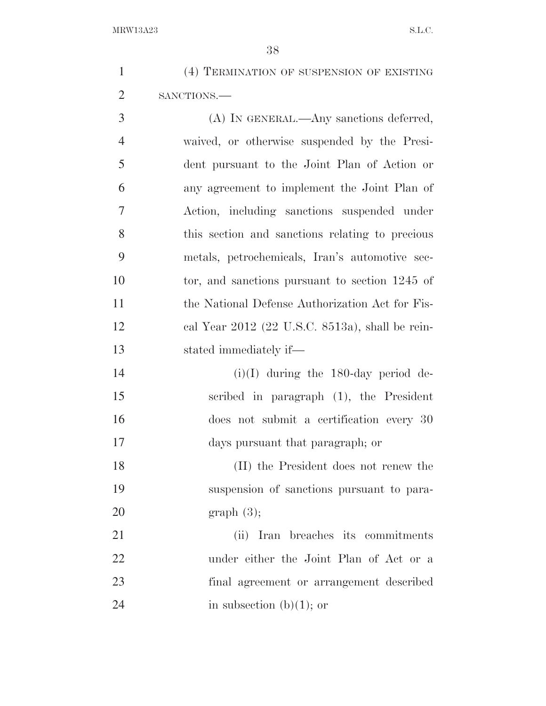| (4) TERMINATION OF SUSPENSION OF EXISTING |
|-------------------------------------------|
| SANCTIONS.—                               |

 (A) IN GENERAL.—Any sanctions deferred, waived, or otherwise suspended by the Presi- dent pursuant to the Joint Plan of Action or any agreement to implement the Joint Plan of Action, including sanctions suspended under this section and sanctions relating to precious metals, petrochemicals, Iran's automotive sec-10 tor, and sanctions pursuant to section 1245 of the National Defense Authorization Act for Fis- cal Year 2012 (22 U.S.C. 8513a), shall be rein-stated immediately if—

 (i)(I) during the 180-day period de- scribed in paragraph (1), the President does not submit a certification every 30 days pursuant that paragraph; or

 (II) the President does not renew the suspension of sanctions pursuant to para-graph (3);

 (ii) Iran breaches its commitments under either the Joint Plan of Act or a final agreement or arrangement described 24 in subsection  $(b)(1)$ ; or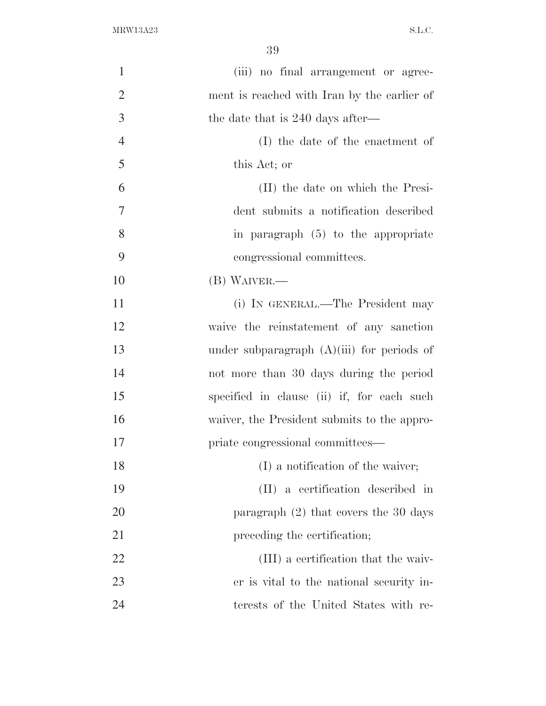| $\mathbf{1}$   | (iii) no final arrangement or agree-         |
|----------------|----------------------------------------------|
| $\overline{2}$ | ment is reached with Iran by the earlier of  |
| 3              | the date that is 240 days after—             |
| $\overline{4}$ | (I) the date of the enactment of             |
| 5              | this Act; or                                 |
| 6              | (II) the date on which the Presi-            |
| $\overline{7}$ | dent submits a notification described        |
| 8              | in paragraph $(5)$ to the appropriate        |
| 9              | congressional committees.                    |
| 10             | (B) WAIVER.-                                 |
| 11             | (i) IN GENERAL.—The President may            |
| 12             | waive the reinstatement of any sanction      |
| 13             | under subparagraph $(A)(iii)$ for periods of |
| 14             | not more than 30 days during the period      |
| 15             | specified in clause (ii) if, for each such   |
| 16             | waiver, the President submits to the appro-  |
| 17             | priate congressional committees—             |
| 18             | (I) a notification of the waiver;            |
| 19             | (II) a certification described in            |
| 20             | paragraph $(2)$ that covers the 30 days      |
| 21             | preceding the certification;                 |
| 22             | (III) a certification that the waiv-         |
| 23             | er is vital to the national security in-     |
| 24             | terests of the United States with re-        |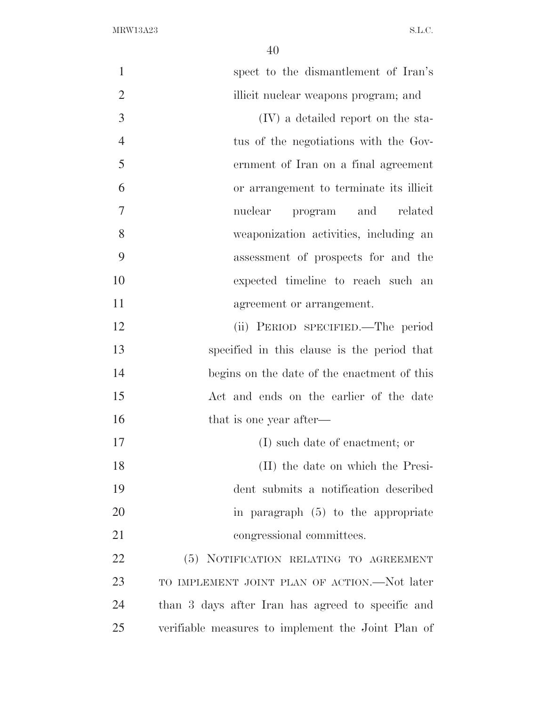| $\mathbf{1}$   | spect to the dismantlement of Iran's               |
|----------------|----------------------------------------------------|
| $\overline{2}$ | illicit nuclear weapons program; and               |
| 3              | (IV) a detailed report on the sta-                 |
| $\overline{4}$ | tus of the negotiations with the Gov-              |
| 5              | ernment of Iran on a final agreement               |
| 6              | or arrangement to terminate its illicit            |
| 7              | nuclear<br>program and related                     |
| 8              | weaponization activities, including an             |
| 9              | assessment of prospects for and the                |
| 10             | expected timeline to reach such an                 |
| 11             | agreement or arrangement.                          |
| 12             | (ii) PERIOD SPECIFIED.—The period                  |
| 13             | specified in this clause is the period that        |
| 14             | begins on the date of the enactment of this        |
| 15             | Act and ends on the earlier of the date            |
| 16             | that is one year after—                            |
| 17             | (I) such date of enactment; or                     |
| 18             | (II) the date on which the Presi-                  |
| 19             | dent submits a notification described              |
| 20             | in paragraph $(5)$ to the appropriate              |
| 21             | congressional committees.                          |
| 22             | (5) NOTIFICATION RELATING TO AGREEMENT             |
| 23             | TO IMPLEMENT JOINT PLAN OF ACTION.—Not later       |
| 24             | than 3 days after Iran has agreed to specific and  |
| 25             | verifiable measures to implement the Joint Plan of |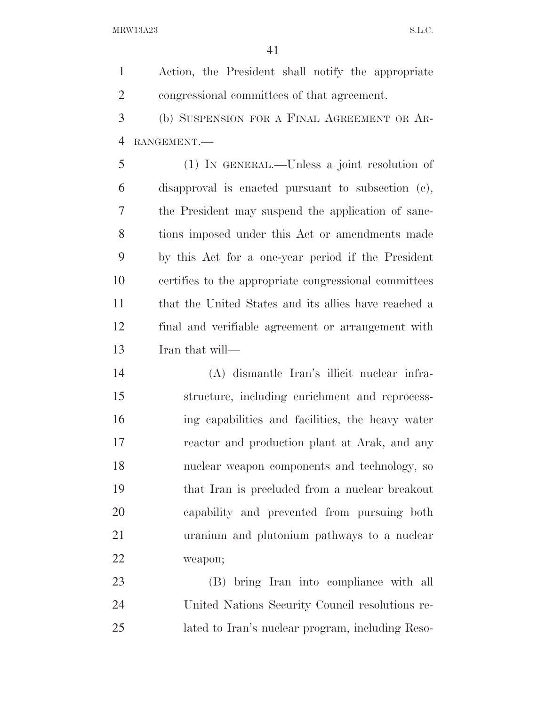Action, the President shall notify the appropriate congressional committees of that agreement.

 (b) SUSPENSION FOR A FINAL AGREEMENT OR AR-RANGEMENT.—

 (1) IN GENERAL.—Unless a joint resolution of disapproval is enacted pursuant to subsection (c), the President may suspend the application of sanc- tions imposed under this Act or amendments made by this Act for a one-year period if the President certifies to the appropriate congressional committees that the United States and its allies have reached a final and verifiable agreement or arrangement with Iran that will—

 (A) dismantle Iran's illicit nuclear infra- structure, including enrichment and reprocess- ing capabilities and facilities, the heavy water reactor and production plant at Arak, and any nuclear weapon components and technology, so that Iran is precluded from a nuclear breakout capability and prevented from pursuing both uranium and plutonium pathways to a nuclear weapon;

 (B) bring Iran into compliance with all United Nations Security Council resolutions re-lated to Iran's nuclear program, including Reso-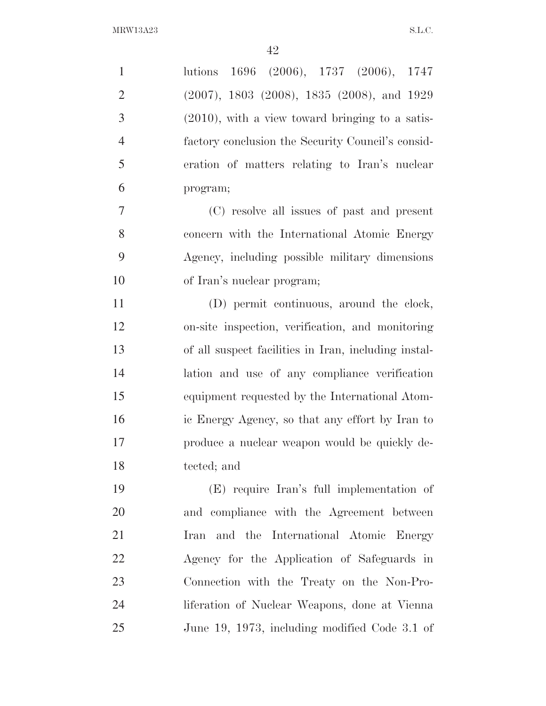| $\mathbf{1}$   | lutions 1696 (2006), 1737 (2006), 1747               |
|----------------|------------------------------------------------------|
| $\overline{2}$ | $(2007)$ , 1803 $(2008)$ , 1835 $(2008)$ , and 1929  |
| 3              | $(2010)$ , with a view toward bringing to a satis-   |
| $\overline{4}$ | factory conclusion the Security Council's consid-    |
| 5              | eration of matters relating to Iran's nuclear        |
| 6              | program;                                             |
| $\tau$         | (C) resolve all issues of past and present           |
| 8              | concern with the International Atomic Energy         |
| 9              | Agency, including possible military dimensions       |
| 10             | of Iran's nuclear program;                           |
| 11             | (D) permit continuous, around the clock,             |
| 12             | on-site inspection, verification, and monitoring     |
| 13             | of all suspect facilities in Iran, including instal- |
| 14             | lation and use of any compliance verification        |
| 15             | equipment requested by the International Atom-       |
| 16             | ic Energy Agency, so that any effort by Iran to      |
| 17             | produce a nuclear weapon would be quickly de-        |
| 18             | tected; and                                          |
| 19             | (E) require Iran's full implementation of            |
| 20             | and compliance with the Agreement between            |
| 21             | and the International Atomic Energy<br>Iran          |
| 22             | Agency for the Application of Safeguards in          |
| 23             | Connection with the Treaty on the Non-Pro-           |
| 24             | liferation of Nuclear Weapons, done at Vienna        |
| 25             | June 19, 1973, including modified Code 3.1 of        |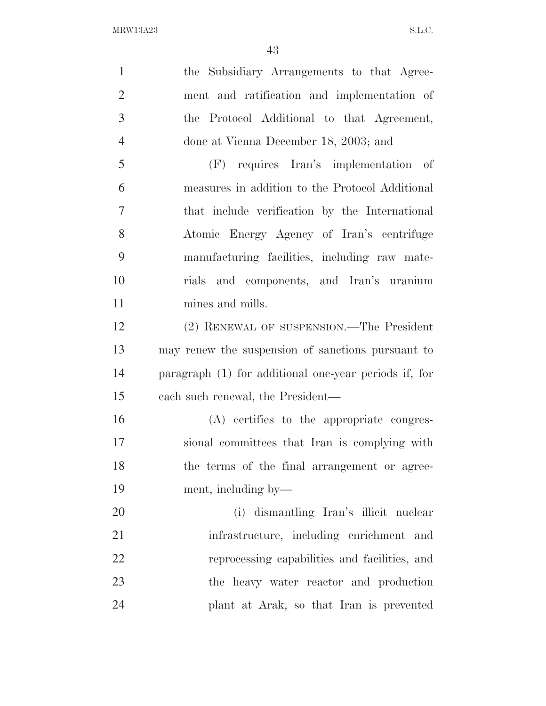| $\mathbf{1}$   | the Subsidiary Arrangements to that Agree-            |
|----------------|-------------------------------------------------------|
| $\overline{2}$ | ment and ratification and implementation of           |
| 3              | the Protocol Additional to that Agreement,            |
| $\overline{4}$ | done at Vienna December 18, 2003; and                 |
| 5              | (F) requires Iran's implementation of                 |
| 6              | measures in addition to the Protocol Additional       |
| $\overline{7}$ | that include verification by the International        |
| 8              | Atomic Energy Agency of Iran's centrifuge             |
| 9              | manufacturing facilities, including raw mate-         |
| 10             | rials and components, and Iran's uranium              |
| 11             | mines and mills.                                      |
| 12             | (2) RENEWAL OF SUSPENSION.—The President              |
| 13             | may renew the suspension of sanctions pursuant to     |
| 14             | paragraph (1) for additional one-year periods if, for |
| 15             | each such renewal, the President—                     |
| 16             | (A) certifies to the appropriate congres-             |
| 17             | sional committees that Iran is complying with         |
| 18             | the terms of the final arrangement or agree-          |
| 19             | ment, including by—                                   |
| 20             | (i) dismantling Iran's illicit nuclear                |
| 21             | infrastructure, including enrichment and              |
| 22             | reprocessing capabilities and facilities, and         |
| 23             | the heavy water reactor and production                |
| 24             | plant at Arak, so that Iran is prevented              |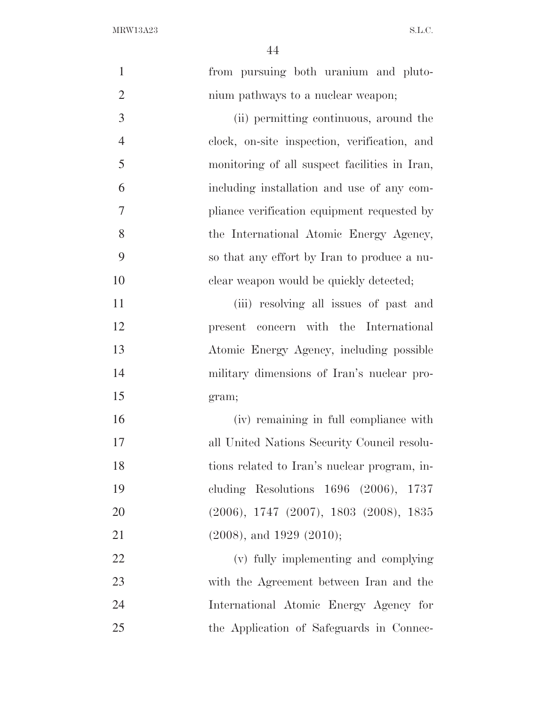| $\mathbf{1}$   | from pursuing both uranium and pluto-         |
|----------------|-----------------------------------------------|
| $\overline{2}$ | nium pathways to a nuclear weapon;            |
| 3              | (ii) permitting continuous, around the        |
| $\overline{4}$ | clock, on-site inspection, verification, and  |
| 5              | monitoring of all suspect facilities in Iran, |
| 6              | including installation and use of any com-    |
| 7              | pliance verification equipment requested by   |
| 8              | the International Atomic Energy Agency,       |
| 9              | so that any effort by Iran to produce a nu-   |
| 10             | clear weapon would be quickly detected;       |
| 11             | (iii) resolving all issues of past and        |
| 12             | present concern with the International        |
| 13             | Atomic Energy Agency, including possible      |
| 14             | military dimensions of Iran's nuclear pro-    |
| 15             | gram;                                         |
| 16             | (iv) remaining in full compliance with        |
| 17             | all United Nations Security Council resolu-   |
| 18             | tions related to Iran's nuclear program, in-  |
| 19             | cluding Resolutions $1696$ (2006), $1737$     |
| 20             | $(2006), 1747 (2007), 1803 (2008), 1835$      |
| 21             | $(2008)$ , and 1929 $(2010)$ ;                |
| 22             | (v) fully implementing and complying          |
| 23             | with the Agreement between Iran and the       |
| 24             | International Atomic Energy Agency for        |
| 25             | the Application of Safeguards in Connec-      |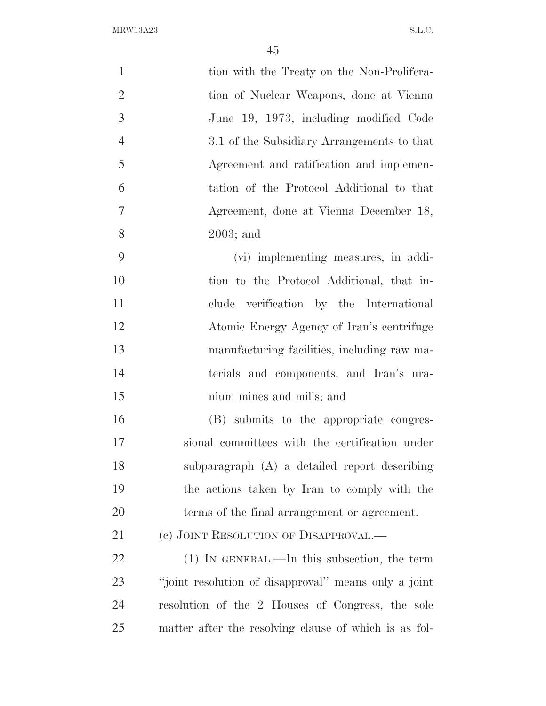| $\mathbf{1}$   | tion with the Treaty on the Non-Prolifera-            |
|----------------|-------------------------------------------------------|
| $\overline{2}$ | tion of Nuclear Weapons, done at Vienna               |
| 3              | June 19, 1973, including modified Code                |
| $\overline{4}$ | 3.1 of the Subsidiary Arrangements to that            |
| 5              | Agreement and ratification and implemen-              |
| 6              | tation of the Protocol Additional to that             |
| 7              | Agreement, done at Vienna December 18,                |
| 8              | $2003$ ; and                                          |
| 9              | (vi) implementing measures, in addi-                  |
| 10             | tion to the Protocol Additional, that in-             |
| 11             | clude verification by the International               |
| 12             | Atomic Energy Agency of Iran's centrifuge             |
| 13             | manufacturing facilities, including raw ma-           |
| 14             | terials and components, and Iran's ura-               |
| 15             | nium mines and mills; and                             |
| 16             | (B) submits to the appropriate congres-               |
| 17             | sional committees with the certification under        |
| 18             | subparagraph (A) a detailed report describing         |
| 19             | the actions taken by Iran to comply with the          |
| 20             | terms of the final arrangement or agreement.          |
| 21             | (c) JOINT RESOLUTION OF DISAPPROVAL.—                 |
| <u>22</u>      | $(1)$ IN GENERAL.—In this subsection, the term        |
| 23             | "joint resolution of disapproval" means only a joint  |
| 24             | resolution of the 2 Houses of Congress, the sole      |
| 25             | matter after the resolving clause of which is as fol- |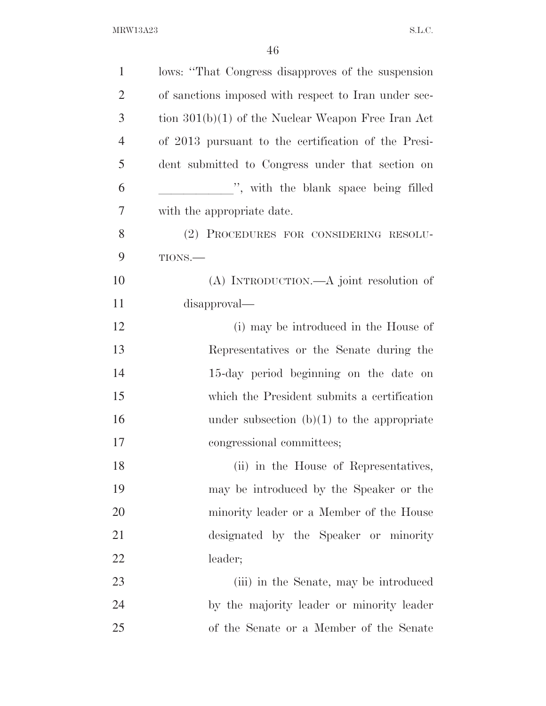| $\mathbf{1}$   | lows: "That Congress disapproves of the suspension   |
|----------------|------------------------------------------------------|
| $\overline{2}$ | of sanctions imposed with respect to Iran under sec- |
| 3              | tion $301(b)(1)$ of the Nuclear Weapon Free Iran Act |
| $\overline{4}$ | of 2013 pursuant to the certification of the Presi-  |
| 5              | dent submitted to Congress under that section on     |
| 6              | ", with the blank space being filled                 |
| 7              | with the appropriate date.                           |
| 8              | (2) PROCEDURES FOR CONSIDERING RESOLU-               |
| 9              | TIONS.-                                              |
| 10             | (A) INTRODUCTION.—A joint resolution of              |
| 11             | disapproval—                                         |
| 12             | (i) may be introduced in the House of                |
| 13             | Representatives or the Senate during the             |
| 14             | 15-day period beginning on the date on               |
| 15             | which the President submits a certification          |
| 16             | under subsection $(b)(1)$ to the appropriate         |
| 17             | congressional committees;                            |
| 18             | (ii) in the House of Representatives,                |
| 19             | may be introduced by the Speaker or the              |
| 20             | minority leader or a Member of the House             |
| 21             | designated by the Speaker or minority                |
| 22             | leader;                                              |
| 23             | (iii) in the Senate, may be introduced               |
| 24             | by the majority leader or minority leader            |
| 25             | of the Senate or a Member of the Senate              |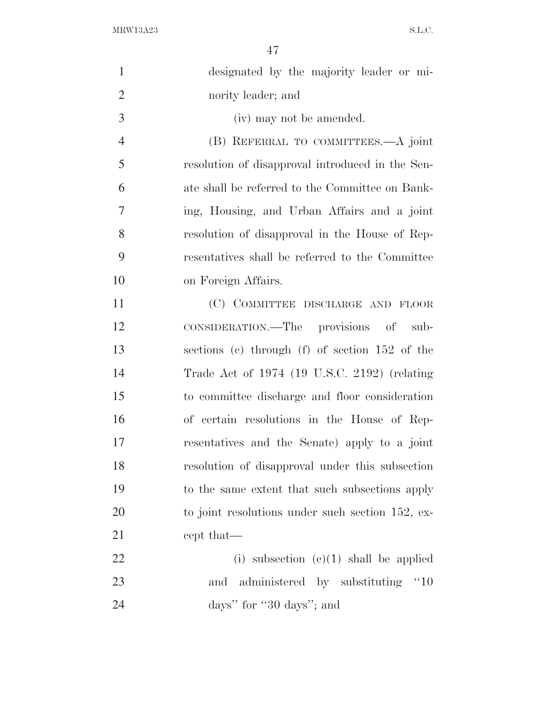| $\mathbf{1}$   | designated by the majority leader or mi-                   |
|----------------|------------------------------------------------------------|
| $\overline{2}$ | nority leader; and                                         |
| 3              | (iv) may not be amended.                                   |
| $\overline{4}$ | (B) REFERRAL TO COMMITTEES.—A joint                        |
| 5              | resolution of disapproval introduced in the Sen-           |
| 6              | ate shall be referred to the Committee on Bank-            |
| 7              | ing, Housing, and Urban Affairs and a joint                |
| 8              | resolution of disapproval in the House of Rep-             |
| 9              | resentatives shall be referred to the Committee            |
| 10             | on Foreign Affairs.                                        |
| 11             | (C) COMMITTEE DISCHARGE AND FLOOR                          |
| 12             | CONSIDERATION.—The provisions of sub-                      |
| 13             | sections (c) through (f) of section 152 of the             |
| 14             | Trade Act of 1974 (19 U.S.C. 2192) (relating               |
| 15             | to committee discharge and floor consideration             |
| 16             | of certain resolutions in the House of Rep-                |
| 17             | resentatives and the Senate) apply to a joint              |
| 18             | resolution of disapproval under this subsection            |
| 19             | to the same extent that such subsections apply             |
| 20             | to joint resolutions under such section 152, ex-           |
| 21             | cept that—                                                 |
| 22             | (i) subsection $(c)(1)$ shall be applied                   |
| 23             | administered by substituting<br>$^{\prime\prime}10$<br>and |
| 24             | days" for "30 days"; and                                   |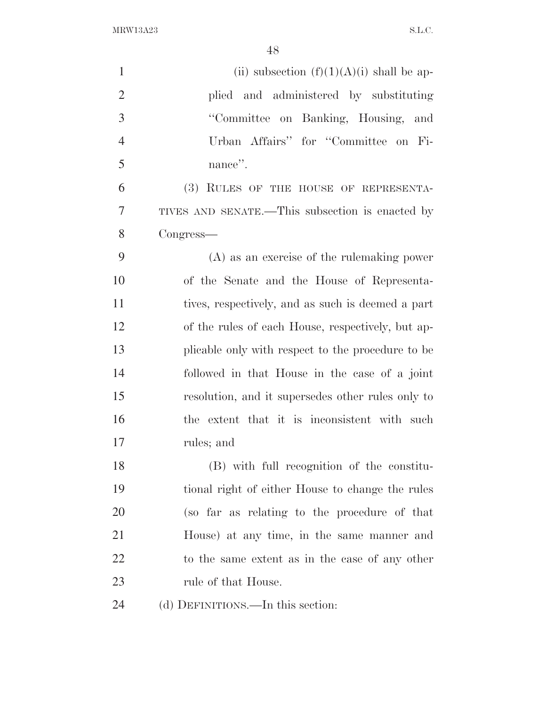| $\mathbf{1}$   | (ii) subsection $(f)(1)(A)(i)$ shall be ap-       |
|----------------|---------------------------------------------------|
| $\overline{2}$ | plied and administered by substituting            |
| 3              | "Committee on Banking, Housing, and               |
| $\overline{4}$ | Urban Affairs" for "Committee on Fi-              |
| 5              | nance".                                           |
| 6              | (3) RULES OF THE HOUSE OF REPRESENTA-             |
| $\overline{7}$ | TIVES AND SENATE.—This subsection is enacted by   |
| 8              | Congress—                                         |
| 9              | $(A)$ as an exercise of the rule making power     |
| 10             | of the Senate and the House of Representa-        |
| 11             | tives, respectively, and as such is deemed a part |
| 12             | of the rules of each House, respectively, but ap- |
| 13             | plicable only with respect to the procedure to be |
| 14             | followed in that House in the case of a joint     |
| 15             | resolution, and it supersedes other rules only to |
| 16             | the extent that it is inconsistent with such      |
| 17             | rules; and                                        |
| 18             | (B) with full recognition of the constitu-        |
| 19             | tional right of either House to change the rules  |
| 20             | (so far as relating to the procedure of that      |
| 21             | House) at any time, in the same manner and        |
| 22             | to the same extent as in the case of any other    |
| 23             | rule of that House.                               |
| 24             | (d) DEFINITIONS.—In this section:                 |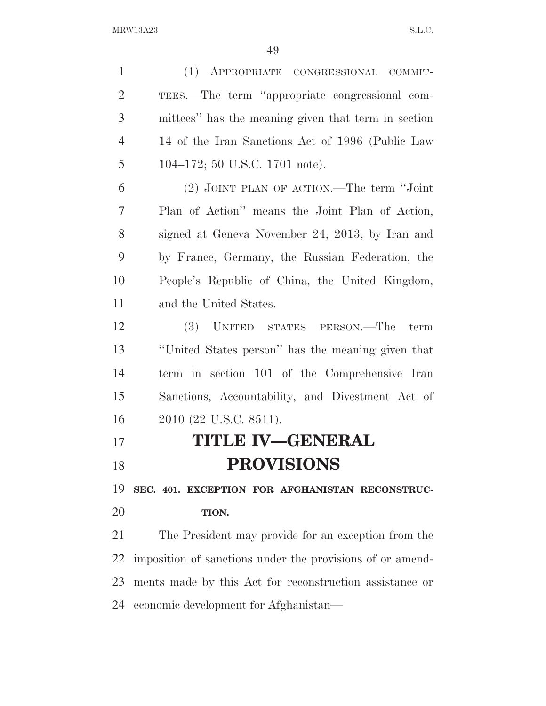(1) APPROPRIATE CONGRESSIONAL COMMIT- TEES.—The term ''appropriate congressional com- mittees'' has the meaning given that term in section 14 of the Iran Sanctions Act of 1996 (Public Law 104–172; 50 U.S.C. 1701 note). (2) JOINT PLAN OF ACTION.—The term ''Joint Plan of Action'' means the Joint Plan of Action, signed at Geneva November 24, 2013, by Iran and by France, Germany, the Russian Federation, the People's Republic of China, the United Kingdom, and the United States. (3) UNITED STATES PERSON.—The term ''United States person'' has the meaning given that term in section 101 of the Comprehensive Iran Sanctions, Accountability, and Divestment Act of 2010 (22 U.S.C. 8511). **TITLE IV—GENERAL** 

# **PROVISIONS**

 **SEC. 401. EXCEPTION FOR AFGHANISTAN RECONSTRUC-TION.** 

 The President may provide for an exception from the imposition of sanctions under the provisions of or amend- ments made by this Act for reconstruction assistance or economic development for Afghanistan—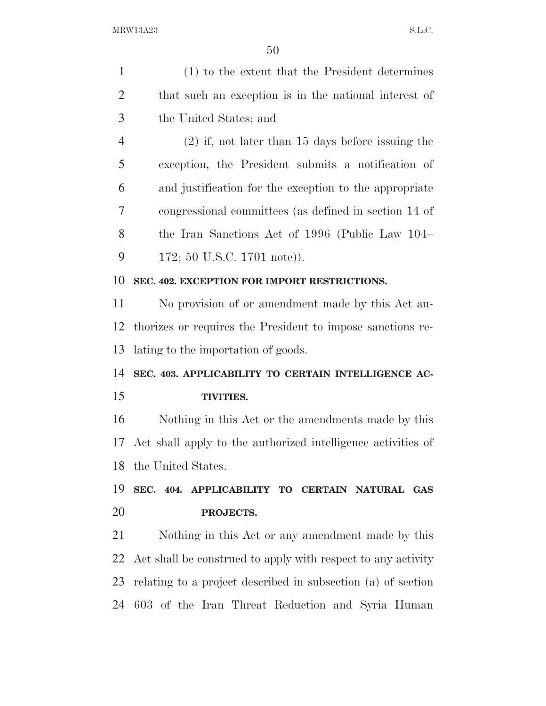| $\mathbf{1}$   | (1) to the extent that the President determines              |
|----------------|--------------------------------------------------------------|
| $\overline{2}$ | that such an exception is in the national interest of        |
| 3              | the United States; and                                       |
| $\overline{4}$ | $(2)$ if, not later than 15 days before issuing the          |
| 5              | exception, the President submits a notification of           |
| 6              | and justification for the exception to the appropriate       |
| 7              | congressional committees (as defined in section 14 of        |
| 8              | the Iran Sanctions Act of 1996 (Public Law 104–              |
| 9              | 172; 50 U.S.C. 1701 note)).                                  |
| 10             | SEC. 402. EXCEPTION FOR IMPORT RESTRICTIONS.                 |
| 11             | No provision of or amendment made by this Act au-            |
| 12             | thorizes or requires the President to impose sanctions re-   |
| 13             | lating to the importation of goods.                          |
| 14             | SEC. 403. APPLICABILITY TO CERTAIN INTELLIGENCE AC-          |
| 15             | <b>TIVITIES.</b>                                             |
| 16             | Nothing in this Act or the amendments made by this           |
| 17             | Act shall apply to the authorized intelligence activities of |
|                | 18 the United States.                                        |
| 19             | SEC. 404. APPLICABILITY TO CERTAIN NATURAL GAS               |
| 20             | PROJECTS.                                                    |
| 21             | Nothing in this Act or any amendment made by this            |
| 22             | Act shall be construed to apply with respect to any activity |
| 23             | relating to a project described in subsection (a) of section |
|                | 24 603 of the Iran Threat Reduction and Syria Human          |